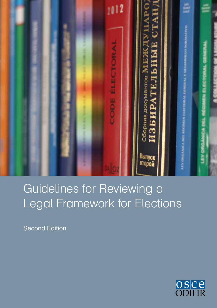

# Guidelines for Reviewing a Legal Framework for Elections

Second Edition

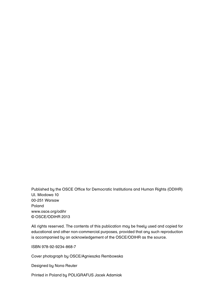Published by the OSCE Office for Democratic Institutions and Human Rights (ODIHR) Ul. Miodowa 10 00-251 Warsaw Poland [www.osce.org/odihr](http://www.osce.org/odihr)  © OSCE/ODIHR 2013

All rights reserved. The contents of this publication may be freely used and copied for educational and other non-commercial purposes, provided that any such reproduction is accompanied by an acknowledgement of the OSCE/ODIHR as the source.

ISBN 978-92-9234-868-7

Cover photograph by OSCE/Agnieszka Rembowska

Designed by Nona Reuter

Printed in Poland by POLIGRAFUS Jacek Adamiak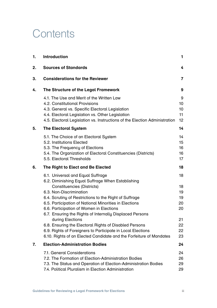## **Contents**

| 1. | Introduction                                                                                                                                                                                                                                                     | 1                          |
|----|------------------------------------------------------------------------------------------------------------------------------------------------------------------------------------------------------------------------------------------------------------------|----------------------------|
| 2. | <b>Sources of Standards</b>                                                                                                                                                                                                                                      | 4                          |
| З. | <b>Considerations for the Reviewer</b>                                                                                                                                                                                                                           | 7                          |
| 4. | The Structure of the Legal Framework                                                                                                                                                                                                                             | 9                          |
|    | 4.1. The Use and Merit of the Written Law<br>4.2. Constitutional Provisions<br>4.3. General vs. Specific Electoral Legislation<br>4.4. Electoral Legislation vs. Other Legislation<br>4.5. Electoral Legislation vs. Instructions of the Election Administration | 9<br>10<br>10<br>11<br>12  |
| 5. | <b>The Electoral System</b>                                                                                                                                                                                                                                      | 14                         |
|    | 5.1. The Choice of an Electoral System<br>5.2. Institutions Elected<br>5.3. The Frequency of Elections<br>5.4. The Organization of Electoral Constituencies (Districts)<br>5.5. Electoral Thresholds                                                             | 14<br>15<br>16<br>16<br>17 |
| 6. | The Right to Elect and Be Elected                                                                                                                                                                                                                                | 18                         |
|    | 6.1. Universal and Equal Suffrage<br>6.2. Diminishing Equal Suffrage When Establishing<br><b>Constituencies (Districts)</b>                                                                                                                                      | 18<br>18                   |
|    | 6.3. Non-Discrimination                                                                                                                                                                                                                                          | 19                         |
|    | 6.4. Scrutiny of Restrictions to the Right of Suffrage<br>6.5. Participation of National Minorities in Elections                                                                                                                                                 | 19<br>20                   |
|    | 6.6. Participation of Women in Elections<br>6.7. Ensuring the Rights of Internally Displaced Persons                                                                                                                                                             | 20                         |
|    | during Elections                                                                                                                                                                                                                                                 | 21                         |
|    | 6.8. Ensuring the Electoral Rights of Disabled Persons                                                                                                                                                                                                           | 22                         |
|    | 6.9. Rights of Foreigners to Participate in Local Elections<br>6.10. Rights of an Elected Candidate and the Forfeiture of Mandates                                                                                                                               | 22<br>23                   |
| 7. | <b>Election-Administration Bodies</b>                                                                                                                                                                                                                            | 24                         |
|    | 7.1. General Considerations<br>7.2. The Formation of Election-Administration Bodies<br>7.3. The Status and Operation of Election-Administration Bodies<br>7.4. Political Pluralism in Election Administration                                                    | 24<br>26<br>29<br>29       |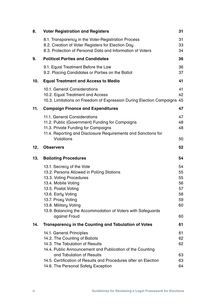| 8.  | <b>Voter Registration and Registers</b>                                                                                                                                                                                                                                                              | 31                                                 |
|-----|------------------------------------------------------------------------------------------------------------------------------------------------------------------------------------------------------------------------------------------------------------------------------------------------------|----------------------------------------------------|
|     | 8.1. Transparency in the Voter-Registration Process<br>8.2. Creation of Voter Registers for Election Day<br>8.3. Protection of Personal Data and Information of Voters                                                                                                                               | 31<br>33<br>34                                     |
| 9.  | <b>Political Parties and Candidates</b>                                                                                                                                                                                                                                                              | 36                                                 |
|     | 9.1. Equal Treatment Before the Law<br>9.2. Placing Candidates or Parties on the Ballot                                                                                                                                                                                                              | 36<br>37                                           |
| 10. | <b>Equal Treatment and Access to Media</b>                                                                                                                                                                                                                                                           | 41                                                 |
|     | 10.1. General Considerations<br>10.2. Equal Treatment and Access<br>10.3. Limitations on Freedom of Expression During Election Campaigns 45                                                                                                                                                          | 41<br>42                                           |
| 11. | <b>Campaign Finance and Expenditures</b>                                                                                                                                                                                                                                                             | 47                                                 |
|     | 11.1. General Considerations<br>11.2. Public (Government) Funding for Campaigns<br>11.3. Private Funding for Campaigns<br>11.4. Reporting and Disclosure Requirements and Sanctions for<br>Violations                                                                                                | 47<br>48<br>48<br>50                               |
| 12. | <b>Observers</b>                                                                                                                                                                                                                                                                                     | 52                                                 |
| 13. | <b>Balloting Procedures</b>                                                                                                                                                                                                                                                                          | 54                                                 |
|     | 13.1. Secrecy of the Vote<br>13.2. Persons Allowed in Polling Stations<br>13.3. Voting Procedures<br>13.4. Mobile Voting<br>13.5. Postal Voting<br>13.6. Early Voting<br>13.7. Proxy Voting<br>13.8. Military Voting<br>13.9. Balancing the Accommodation of Voters with Safeguards<br>against Fraud | 54<br>55<br>55<br>56<br>57<br>58<br>59<br>60<br>60 |
| 14. | Transparency in the Counting and Tabulation of Votes                                                                                                                                                                                                                                                 | 61                                                 |
|     | 14.1. General Principles<br>14.2. The Counting of Ballots<br>14.3. The Tabulation of Results<br>14.4. Public Announcement and Publication of the Counting<br>and Tabulation of Results<br>14.5. Certification of Results and Procedures after an Election<br>14.6. The Personal Safety Exception     | 61<br>62<br>62<br>63<br>63<br>64                   |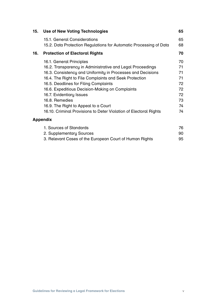| 15. | <b>Use of New Voting Technologies</b>                                                              |          |
|-----|----------------------------------------------------------------------------------------------------|----------|
|     | 15.1. General Considerations<br>15.2. Data Protection Regulations for Automatic Processing of Data | 65<br>68 |
| 16. | <b>Protection of Electoral Rights</b>                                                              | 70       |
|     | 16.1. General Principles                                                                           | 70       |
|     | 16.2. Transparency in Administrative and Legal Proceedings                                         | 71       |
|     | 16.3. Consistency and Uniformity in Processes and Decisions                                        | 71       |
|     | 16.4. The Right to File Complaints and Seek Protection                                             | 71       |
|     | 16.5. Deadlines for Filing Complaints                                                              | 72       |
|     | 16.6. Expeditious Decision-Making on Complaints                                                    | 72       |
|     | 16.7. Evidentiary Issues                                                                           | 72       |
|     | 16.8. Remedies                                                                                     | 73       |
|     | 16.9. The Right to Appeal to a Court                                                               | 74       |
|     | 16.10. Criminal Provisions to Deter Violation of Electoral Rights                                  | 74       |
|     | Appendix                                                                                           |          |
|     | 1. Sources of Standards                                                                            | 76       |
|     | 2. Supplementary Sources                                                                           | 90       |

|  |  | 3. Relevant Cases of the European Court of Human Rights | 95 |
|--|--|---------------------------------------------------------|----|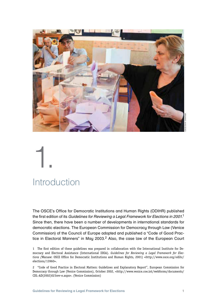<span id="page-6-0"></span>

# 1.

### Introduction

The OSCE's Office for Democratic Institutions and Human Rights (ODIHR) published the first edition of its Guidelines for Reviewing a Legal Framework for Elections in 2001.<sup>1</sup> Since then, there have been a number of developments in international standards for democratic elections. The European Commission for Democracy through Law (Venice Commission) of the Council of Europe adopted and published a "Code of Good Practice in Electoral Manners" in May 2003.<sup>2</sup> Also, the case law of the European Court

<sup>1</sup> The first edition of these guidelines was prepared in collaboration with the International Institute for Democracy and Electoral Assistance (International IDEA). *Guidelines for Reviewing a Legal Framework for Elections (*Warsaw: OSCE Office for Democratic Institutions and Human Rights, 2001) [<http://www.osce.org/odihr/](http://www.osce.org/odihr/elections/13960) [elections/13960>](http://www.osce.org/odihr/elections/13960).

<sup>2</sup> "Code of Good Practice in Electoral Matters: Guidelines and Explanatory Report", European Commission for Democracy through Law (Venice Commission), October 2002, <http://www.venice.coe.int/webforms/documents/ CDL-AD(2002)023rev-e.aspx>. (Venice Commission)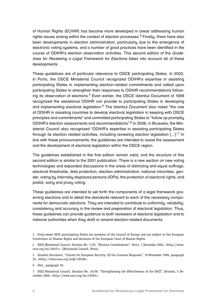of Human Rights (ECtHR) has become more developed in areas addressing human rights issues arising within the context of election processes. $3$  Finally, there have also been developments in election administration, particularly due to the emergence of electronic voting systems, and a number of good practices have been identified in the course of ODIHR's election observation activities. This second edition of the Guidelines for Reviewing a Legal Framework for Elections takes into account all of these developments.

These guidelines are of particular relevance to OSCE participating States. In 2002, in Porto, the OSCE Ministerial Council recognized ODIHR's expertise in assisting participating States in implementing election-related commitments and called upon participating States to strengthen their responses to ODIHR recommendations following its observation of elections.<sup>4</sup> Even earlier, the OSCE Istanbul Document of 1999 recognized the assistance ODIHR can provide to participating States in developing and implementing electoral legislation.<sup>5</sup> The Istanbul Document also noted "the role of ODIHR in assisting countries to develop electoral legislation in keeping with OSCE principles and commitments" and committed participating States to "follow up promptly ODIHR's election assessments and recommendations".6 In 2006, in Brussels, the Ministerial Council also recognized "ODIHR's expertise in assisting participating States through its election related activities, including reviewing election legislation  $\left[ \ldots \right]$ ".<sup>7</sup> In line with these pronouncements, the guidelines are intended to assist the assessment and the development of electoral legislation within the OSCE region.

The guidelines established in the first edition remain valid, and the structure of this second edition is similar to the 2001 publication. There is a new section on new voting technologies and expanded discussions in the areas of districting and equal suffrage, electoral thresholds, data protection, election administration, national minorities, gender, voting by internally displaced persons (IDPs), the protection of electoral rights, and postal, early and proxy voting.

These guidelines are intended to set forth the components of a legal framework governing elections and to detail the standards relevant to each of the necessary components for democratic elections. They are intended to contribute to uniformity, reliability, consistency and accuracy in the review and preparation of electoral legislation. Thus, these guidelines can provide guidance to both reviewers of electoral legislation and to national authorities when they draft or amend election-related documents.

5 Istanbul Document, "Charter for European Security: III Our Common Response", 19 November 1999, paragraph 25, <http://www.osce.org/node/39569>.

6 *Ibid*., paragraph 26.

<sup>3</sup> Forty-seven OSCE participating States are members of the Council of Europe and are subject to the European Convention on Human Rights and decisions of the European Court of Human Rights.

<sup>4</sup> OSCE Ministerial Council, Decision No. 7/02, "Election Commitments", Porto, 7 December 2002, <http://www. osce.org/mc/40521>. (Ministerial Council, Porto)

<sup>7</sup> OSCE Ministerial Council, Decision No. 19/06, "Strengthening the Effectiveness of the OSCE", Brussels, 5 December 2006, <http://www.osce.org/mc/25065>.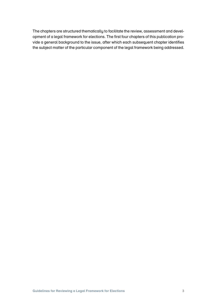The chapters are structured thematically to facilitate the review, assessment and development of a legal framework for elections. The first four chapters of this publication provide a general background to the issue, after which each subsequent chapter identifies the subject matter of the particular component of the legal framework being addressed.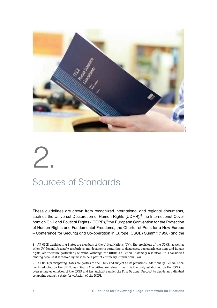<span id="page-9-0"></span>

# 2.

### Sources of Standards

These guidelines are drawn from recognized international and regional documents, such as the Universal Declaration of Human Rights (UDHR),<sup>8</sup> the International Covenant on Civil and Political Rights (ICCPR),<sup>9</sup> the European Convention for the Protection of Human Rights and Fundamental Freedoms, the Charter of Paris for a New Europe – Conference for Security and Co-operation in Europe (CSCE) Summit (1990) and the

8 All OSCE participating States are members of the United Nations (UN). The provisions of the UDHR, as well as other UN General Assembly resolutions and documents pertaining to democracy, democratic elections and human rights, are therefore particularly relevant. Although the UDHR is a General Assembly resolution, it is considered binding because it is viewed by most to be a part of customary international law.

9 All OSCE participating States are parties to the ICCPR and subject to its provisions. Additionally, General Comments adopted by the UN Human Rights Committee are relevant, as it is the body established by the ICCPR to oversee implementation of the ICCPR and has authority under the First Optional Protocol to decide an individual complaint against a state for violation of the ICCPR.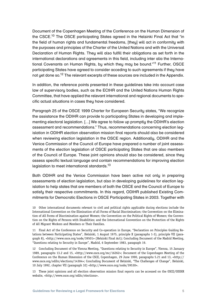Document of the Copenhagen Meeting of the Conference on the Human Dimension of the CSCE.10 The OSCE participating States agreed in the Helsinki Final Act that "in the field of human rights and fundamental freedoms, [they] will act in conformity with the purposes and principles of the Charter of the United Nations and with the Universal Declaration of Human Rights. They will also fulfill their obligations as set forth in the international declarations and agreements in this field, including inter alia the International Covenants on Human Rights, by which they may be bound."11 Further, OSCE participating States have agreed to consider acceding to such agreements if they have not uet done so.<sup>12</sup> The relevant excerpts of these sources are included in the Appendix.

In addition, the reference points presented in these guidelines take into account case law of supervisory bodies, such as the ECtHR and the United Nations Human Rights Committee, that have applied the relevant international and regional documents to specific actual situations in cases they have considered.

Paragraph 25 of the OSCE 1999 Charter for European Security states, "We recognize the assistance the ODIHR can provide to participating States in developing and implementing electoral legislation. […] We agree to follow up promptly the ODIHR's election assessment and recommendations." Thus, recommendations concerning election legislation in ODIHR election observation mission final reports should also be considered when reviewing election legislation in the OSCE region. Additionally, ODIHR and the Venice Commission of the Council of Europe have prepared a number of joint assessments of the election legislation of OSCE participating States that are also members of the Council of Europe. These joint opinions should also be considered, since they assess specific textual language and contain recommendations for improving election legislation to meet international standards.<sup>13</sup>

Both ODIHR and the Venice Commission have been active not only in preparing assessments of election legislation, but also in developing guidelines for election legislation to help states that are members of both the OSCE and the Council of Europe to satisfy their respective commitments. In this regard, ODIHR published Existing Commitments for Democratic Elections in OSCE Participating States in 2003. Together with

10 Other international documents relevant to civil and political rights applicable during elections include the International Convention on the Elimination of all Forms of Racial Discrimination; the Convention on the Elimination of All Forms of Discrimination against Women; the Convention on the Political Rights of Women; the Convention on the Rights of Persons with Disabilities; and the International Convention on the Protection of the Rights of All Migrant Workers and Members or Their Families.

11 Final Act of the Conference on Security and Co-operation in Europe, "Declaration on Principles Guiding Relations between Participating States", Helsinki, 1 August 1975, principle X (paragraphs 1-3), principle VII (paragraph 8), <[http://www.osce.org/node/39501>](http://www.osce.org/node/39501) (Helsinki Final Act); Concluding Document of the Madrid Meeting, "Questions relating to Security in Europe", Madrid, 6 September 1983, paragraph 19.

12 Concluding Document of the Vienna Meeting, "Questions relating to Security in Europe", Vienna, 15 January 1989, paragraphs 13.2 and 15, <<http://www.osce.org/mc/16262>>; Document of the Copenhagen Meeting of the Conference on the Human Dimension of the CSCE, Copenhagen, 29 June 1990, paragraphs 5.21 and 13, <http:// www.osce.org/odihr/elections/14304>; Concluding Document of Helsinki, "The Challenges of Change", Helsinki, 10 July 1992, chapter VII (paragraph 32) [<http://www.osce.org/node/39530>](http://www.osce.org/node/39530).

13 These joint opinions and all election observation mission final reports can be accessed on the OSCE/ODIHR website, <http://www.osce.org/odihr/elections>.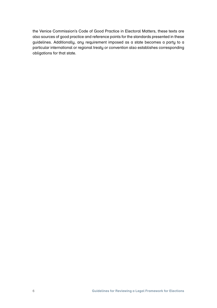the Venice Commission's Code of Good Practice in Electoral Matters, these texts are also sources of good practice and reference points for the standards presented in these guidelines. Additionally, any requirement imposed as a state becomes a party to a particular international or regional treaty or convention also establishes corresponding obligations for that state.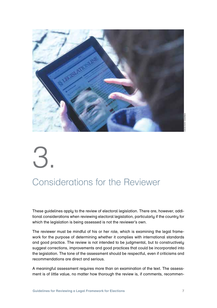<span id="page-12-0"></span>

# 3.

### Considerations for the Reviewer

These guidelines apply to the review of electoral legislation. There are, however, additional considerations when reviewing electoral legislation, particularly if the country for which the legislation is being assessed is not the reviewer's own.

The reviewer must be mindful of his or her role, which is examining the legal framework for the purpose of determining whether it complies with international standards and good practice. The review is not intended to be judgmental, but to constructively suggest corrections, improvements and good practices that could be incorporated into the legislation. The tone of the assessment should be respectful, even if criticisms and recommendations are direct and serious.

A meaningful assessment requires more than an examination of the text. The assessment is of little value, no matter how thorough the review is, if comments, recommen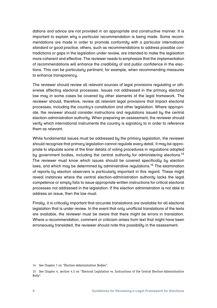dations and advice are not provided in an appropriate and constructive manner. It is important to explain why a particular recommendation is being made. Some recommendations are made in order to promote conformity with a particular international standard or good practice; others, such as recommendations to address possible contradictions or gaps in the legislation under review, are intended to make the legislation more coherent and effective. The reviewer needs to emphasize that the implementation of recommendations will enhance the credibility of and public confidence in the elections. This can be particularly pertinent, for example, when recommending measures to enhance transparency.

The reviewer should review all relevant sources of legal provisions regulating or otherwise affecting electoral processes. Issues not addressed in the primary electoral law may in some cases be covered by other elements of the legal framework. The reviewer should, therefore, review all relevant legal provisions that impact electoral processes, including the country's constitution and other legislation. Where appropriate, the reviewer should consider instructions and regulations issued by the central election-administration authority. When preparing an assessment, the reviewer should verify which international instruments the country is signatory to in order to reference them as relevant.

While fundamental issues must be addressed bu the primary legislation, the reviewer should recognize that primary legislation cannot regulate every detail. It may be appropriate to stipulate some of the finer details of voting procedures in regulations adopted by government bodies, including the central authority for administering elections.<sup>14</sup> The reviewer must know which issues should be covered specifically by election laws, and which may be determined by administrative regulations.<sup>15</sup> The examination of reports by election observers is particularly important in this regard. These might reveal instances where the central election-administration authority lacks the legal competence or simply fails to issue appropriate written instructions for critical electoral processes not addressed in the legislation. If the election administration is not able to address an issue, then the law must.

Finally, it is critically important that accurate translations are available for all electoral legislation that is under review. In the event that only unofficial translations of the texts are available, the reviewer must be aware that there might be errors in translation. Where a recommendation, comment or criticism arises from text that might have been erroneously translated, the reviewer should note this possibility in the assessment.

<sup>14</sup> See Chapter 7 on "Election-Administration Bodies".

<sup>15</sup> See Chapter 4, section 4.5 on "Electoral Legislation vs. Instructions of the Central Election-Administration Body".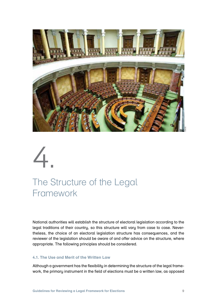<span id="page-14-0"></span>

# $\overline{4}$

### The Structure of the Legal Framework

National authorities will establish the structure of electoral legislation according to the legal traditions of their country, so this structure will vary from case to case. Nevertheless, the choice of an electoral legislation structure has consequences, and the reviewer of the legislation should be aware of and offer advice on the structure, where appropriate. The following principles should be considered.

### **4.1. The Use and Merit of the Written Law**

Although a government has the flexibility in determining the structure of the legal framework, the primary instrument in the field of elections must be a written law, as opposed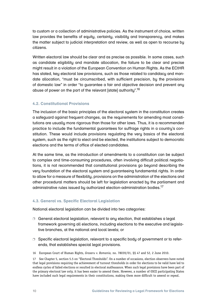<span id="page-15-0"></span>to custom or a collection of administrative policies. As the instrument of choice, written law provides the benefits of equity, certainty, visibility and transparency, and makes the matter subject to judicial interpretation and review, as well as open to recourse by citizens.

Written electoral law should be clear and as precise as possible. In some cases, such as candidate eligibility and mandate allocation, the failure to be clear and precise might result in a violation of the European Convention on Human Rights. As the ECtHR has stated, key electoral law provisions, such as those related to candidacy and mandate allocation, "must be circumscribed, with sufficient precision, by the provisions of domestic law" in order "to guarantee a fair and objective decision and prevent any abuse of power on the part of the relevant [state] authority".16

#### **4.2. Constitutional Provisions**

The inclusion of the basic principles of the electoral system in the constitution creates a safeguard against frequent changes, as the requirements for amending most constitutions are usually more rigorous than those for other laws. Thus, it is a recommended practice to include the fundamental guarantees for suffrage rights in a country's constitution. These would include provisions regulating the very basics of the electoral system, such as the right to elect and be elected, the institutions subject to democratic elections and the terms of office of elected candidates.

At the same time, as the introduction of amendments to a constitution can be subject to complex and time-consuming procedures, often involving difficult political negotiations, it is not recommended that constitutional provisions go beyond describing the very foundation of the electoral system and guaranteeing fundamental rights. In order to allow for a measure of flexibility, provisions on the administration of the elections and other procedural matters should be left for legislation enacted by the parliament and administrative rules issued by authorized election-administration bodies.<sup>17</sup>

### **4.3. General vs. Specific Electoral Legislation**

National electoral legislation can be divided into two categories:

- $\Box$  General electoral legislation, relevant to any election, that establishes a legal framework governing all elections, including elections to the executive and legislative branches, at the national and local levels; or
- $\Box$  Specific electoral legislation, relevant to a specific body of government or to referenda, that establishes special legal provisions.
- 16 European Court of Human Rights, *Grosaru v. Romania,* no. 78039/01, §§ 47 and 52, 2 June 2010.

<sup>17</sup> See Chapter 5, section 5.5 on "Electoral Thresholds". On a number of occasions, election observers have noted that legal provisions requiring the achievement of turnout thresholds in order for elections to be valid have led to endless cycles of failed elections or resulted in electoral malfeasance. When such legal provisions have been part of the primary electoral law only, it has been easier to amend them. However, a number of OSCE participating States have included such legal requirements in their constitutions, making them more difficult to amend or repeal.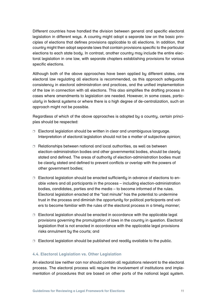<span id="page-16-0"></span>Different countries have handled the division between general and specific electoral legislation in different ways. A country might adopt a separate law on the basic principles of elections that defines provisions applicable to all elections. In addition, that country might then adopt separate laws that contain provisions specific to the particular elections to each state body. In contrast, another country may include the entire electoral legislation in one law, with separate chapters establishing provisions for various specific elections.

Although both of the above approaches have been applied by different states, one electoral law regulating all elections is recommended, as this approach safeguards consistency in electoral administration and practices, and the unified implementation of the law in connection with all elections. This also simplifies the drafting process in cases where amendments to legislation are needed. However, in some cases, particularly in federal systems or where there is a high degree of de-centralization, such an approach might not be possible.

Regardless of which of the above approaches is adopted by a country, certain principles should be respected:

- $\Box$  Electoral legislation should be written in clear and unambiguous language. Interpretation of electoral legislation should not be a matter of subjective opinion;
- $\Box$  Relationships between national and local authorities, as well as between election-administration bodies and other governmental bodies, should be clearly stated and defined. The areas of authority of election-administration bodies must be clearly stated and defined to prevent conflicts or overlap with the powers of other government bodies;
- $\Box$  Electoral legislation should be enacted sufficiently in advance of elections to enable voters and all participants in the process – including election-administration bodies, candidates, parties and the media – to become informed of the rules. Electoral legislation enacted at the "last minute" has the potential to undermine trust in the process and diminish the opportunity for political participants and voters to become familiar with the rules of the electoral process in a timely manner;
- $\Box$  Electoral legislation should be enacted in accordance with the applicable legal provisions governing the promulgation of laws in the country in question. Electoral legislation that is not enacted in accordance with the applicable legal provisions risks annulment by the courts; and
- $\Box$  Electoral legislation should be published and readily available to the public.

### **4.4. Electoral Legislation vs. Other Legislation**

An electoral law neither can nor should contain all regulations relevant to the electoral process. The electoral process will require the involvement of institutions and implementation of procedures that are based on other parts of the national legal system.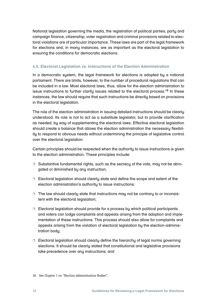<span id="page-17-0"></span>National legislation governing the media, the registration of political parties, party and campaign finance, citizenship, voter registration and criminal provisions related to electoral violations are of particular importance. These laws are part of the legal framework for elections and, in many instances, are as important as the electoral legislation to ensuring the conditions for democratic elections.

### **4.5. Electoral Legislation vs. Instructions of the Election Administration**

In a democratic system, the legal framework for elections is adopted by a national parliament. There are limits, however, to the number of procedural regulations that can be included in a law. Most electoral laws, thus, allow for the election administration to issue instructions to further clarify issues related to the electoral process.<sup>18</sup> In these instances, the law should require that such instructions be directly based on provisions in the electoral legislation.

The role of the election administration in issuing detailed instructions should be clearly understood. Its role is not to act as a substitute legislator, but to provide clarification as needed, by way of supplementing the electoral laws. Effective electoral legislation should create a balance that allows the election administration the necessary flexibility to respond to obvious needs without undermining the principle of legislative control over the electoral legislation.

Certain principles should be respected when the authority to issue instructions is given to the election administration. These principles include:

- $\Box$  Substantive fundamental rights, such as the secrecy of the vote, may not be abrogated or diminished by any instruction;
- $\Box$  Electoral legislation should clearly state and define the scope and extent of the election administration's authority to issue instructions;
- $\Box$  The law should clearly state that instructions may not be contrary to or inconsistent with the electoral legislation;
- $\Box$  Electoral legislation should provide for a process by which political participants and voters can lodge complaints and appeals arising from the adoption and implementation of these instructions. This process should also allow for complaints and appeals arising from the violation of electoral legislation by the election-administration body;
- $\Box$  Electoral legislation should clearly define the hierarchy of legal norms governing elections. It should be clearly stated that constitutional and legislative provisions take precedence over any instructions; and

<sup>18</sup> See Chapter 7 on "Election-Administration Bodies".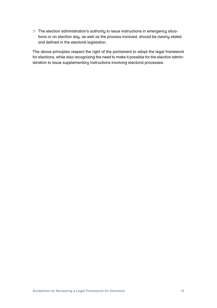$\Box$  The election administration's authority to issue instructions in emergency situations or on election day, as well as the process involved, should be clearly stated and defined in the electoral legislation.

The above principles respect the right of the parliament to adopt the legal framework for elections, while also recognizing the need to make it possible for the election administration to issue supplementary instructions involving electoral processes.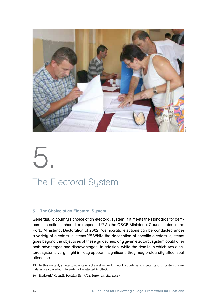<span id="page-19-0"></span>

# 5. The Electoral System

#### **5.1. The Choice of an Electoral System**

Generally, a country's choice of an electoral system, if it meets the standards for democratic elections, should be respected.19 As the OSCE Ministerial Council noted in the Porto Ministerial Declaration of 2002, "democratic elections can be conducted under a variety of electoral systems."20 While the description of specific electoral systems goes beyond the objectives of these guidelines, any given electoral system could offer both advantages and disadvantages. In addition, while the details in which two electoral systems vary might initially appear insignificant, they may profoundly affect seat allocation.

19 In this context, an electoral system is the method or formula that defines how votes cast for parties or candidates are converted into seats in the elected institution.

20 Ministerial Council, Decision No. 7/02, Porto, *op. cit.,* note 4.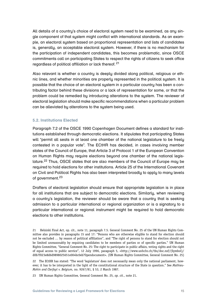<span id="page-20-0"></span>All details of a country's choice of electoral system need to be examined, as any single component of that system might conflict with international standards. As an example, an electoral system based on proportional representation and lists of candidates is, generally, an acceptable electoral system. However, if there is no mechanism for the participation of independent candidates, this becomes problematic, since OSCE commitments call on participating States to respect the rights of citizens to seek office regardless of political affiliation or lack thereof. <sup>21</sup>

Also relevant is whether a country is deeply divided along political, religious or ethnic lines, and whether minorities are properly represented in the political system. It is possible that the choice of an electoral system in a particular country has been a contributing factor behind these divisions or a lack of representation for some, or that the problem could be remedied by introducing alterations to the system. The reviewer of electoral legislation should make specific recommendations when a particular problem can be alleviated by alterations to the system being used.

### **5.2. Institutions Elected**

Paragraph 7.2 of the OSCE 1990 Copenhagen Document defines a standard for institutions established through democratic elections. It stipulates that participating States will "permit all seats in at least one chamber of the national legislature to be freely contested in a popular vote". The ECtHR has decided, in cases involving member states of the Council of Europe, that Article 3 of Protocol 1 of the European Convention on Human Rights may require elections beyond one chamber of the national legislature.<sup>22</sup> Thus, OSCE states that are also members of the Council of Europe may be required to hold elections for other institutions. Article 25 of the International Covenant on Civil and Political Rights has also been interpreted broadly to apply to many levels of government.<sup>23</sup>

Drafters of electoral legislation should ensure that appropriate legislation is in place for all institutions that are subject to democratic elections. Similarly, when reviewing a country's legislation, the reviewer should be aware that a country that is seeking admission to a particular international or regional organization or is a signatory to a particular international or regional instrument might be required to hold democratic elections to other institutions.

22 The ECtHR has stated: "The word 'legislature' does not necessarily mean only the national parliament, however; it has to be interpreted in the light of the constitutional structure of the State in question." See *Mathieu-Mohin and Clerfayt v. Belgium,* no. 9267/81, § 53, 2 March 1987.

23 UN Human Rights Committee, General Comment No. 25, *op. cit.*, note 21.

<sup>21</sup> Helsinki Final Act, op. cit., note 11, paragraph 7.5. General Comment No. 25 of the UN Human Rights Committee also provides in paragraphs 15 and 17: "Persons who are otherwise eligible to stand for election should not be excluded … by reason of political affiliation", and "The right of persons to stand for election should not be limited unreasonably by requiring candidates to be members of parties or of specific parties." UN Human Rights Committee, "General Comment No. 25: The right to participate in public affairs, voting rights and the right of equal access to public service", 12 July 1996, paragraph 5, [<http://www.unhchr.ch/tbs/doc.nsf/\(Symbol\)/](http://www.unhchr.ch/tbs/doc.nsf/(Symbol)/d0b7f023e8d6d9898025651e004bc0eb?Opendocument) [d0b7f023e8d6d9898025651e004bc0eb?Opendocument>](http://www.unhchr.ch/tbs/doc.nsf/(Symbol)/d0b7f023e8d6d9898025651e004bc0eb?Opendocument). (UN Human Rights Committee, General Comment No. 25)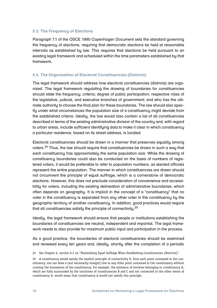### <span id="page-21-0"></span>**5.3. The Frequency of Elections**

Paragraph 7.1 of the OSCE 1990 Copenhagen Document sets the standard governing the frequency of elections, requiring that democratic elections be held at reasonable intervals as established by law. This requires that elections be held pursuant to an existing legal framework and scheduled within the time parameters established by that framework.

### **5.4. The Organization of Electoral Constituencies (Districts)**

The legal framework should address how electoral constituencies (districts) are organized. The legal framework regulating the drawing of boundaries for constituencies should state the frequency; criteria; degree of public participation; respective roles of the legislative, judicial, and executive branches of government; and who has the ultimate authority to choose the final plan for these boundaries. The law should also specify under what circumstances the population size of a constituency might deviate from the established criteria. Ideally, the law would also contain a list of all constituencies described in terms of the existing administrative division of the country and, with regard to urban areas, include sufficient identifying data to make it clear in which constituency a particular residence, based on its street address, is located.

Electoral constituencies should be drawn in a manner that preserves equality among voters.24 Thus, the law should require that constituencies be drawn in such a way that each constituency has approximately the same population size. While the drawing of constituency boundaries could also be conducted on the basis of numbers of registered voters, it would be preferable to refer to population numbers, as elected officials represent the entire population. The manner in which constituencies are drawn should not circumvent the principle of equal suffrage, which is a cornerstone of democratic elections. However, this does not preclude consideration of convenience and accessibility for voters, including the existing delineation of administrative boundaries, which often depends on geography. It is implicit in the concept of a "constituency" that no voter in the constituency is separated from any other voter in the constituency by the geographic territory of another constituency. In addition, good practices would require that all constituencies satisfy the principle of connectivity.<sup>25</sup>

Ideally, the legal framework should ensure that people or institutions establishing the boundaries of constituencies are neutral, independent and impartial. The legal framework needs to also provide for maximum public input and participation in the process.

As a good practice, the boundaries of electoral constituencies should be examined and reviewed every ten years and, ideally, shortly after the completion of a periodic

24 See Chapter 6, section 6.2 on "Diminishing Equal Suffrage When Establishing Constituencies (Districts)".

<sup>25</sup> A constituency would satisfy the implicit principle of connectivity if, from each point contained in the constituency, one can draw a (not necessarily straight) line to any other point contained in the constituency without crossing the boundaries of the constituency. For example, the existence of enclaves belonging to constituency A, which are fully surrounded by the territories of constituencies B and C and not connected to the other voters of constituency A, would mean that constituency A would not satisfy this principle.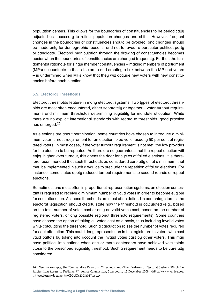<span id="page-22-0"></span>population census. This allows for the boundaries of constituencies to be periodically adjusted as necessary to reflect population changes and shifts. However, frequent changes in the boundaries of constituencies should be avoided, and changes should be made only for demographic reasons, and not to favour a particular political party or candidate. Electoral manipulation through the drawing of constituencies becomes easier when the boundaries of constituencies are changed frequently. Further, the fundamental rationale for single member constituencies – making members of parliament (MPs) accountable to their electorate and creating a link between the MP and voters – is undermined when MPs know that they will acquire new voters with new constituencies before each election.

### **5.5. Electoral Thresholds**

Electoral thresholds feature in many electoral systems. Two types of electoral thresholds are most often encountered, either separately or together – voter-turnout requirements and minimum thresholds determining eligibility for mandate allocation. While there are no explicit international standards with regard to thresholds, good practice has emerged.<sup>26</sup>

As elections are about participation, some countries have chosen to introduce a minimum voter turnout requirement for an election to be valid, usually 50 per cent of registered voters. In most cases, if the voter turnout requirement is not met, the law provides for the election to be repeated. As there are no guarantees that the repeat election will enjoy higher voter turnout, this opens the door for cycles of failed elections. It is therefore recommended that such thresholds be considered carefully or, at a minimum, that they be implemented in such a way as to preclude the repetition of failed elections. For instance, some states apply reduced turnout requirements to second rounds or repeat elections.

Sometimes, and most often in proportional representation systems, an election contestant is required to receive a minimum number of valid votes in order to become eligible for seat allocation. As these thresholds are most often defined in percentage terms, the electoral legislation should clearly state how the threshold is calculated (e.g., based on the total number of votes cast or only on valid votes cast, based on the number of registered voters, or any possible regional threshold requirements). Some countries have chosen the option of taking all votes cast as a basis, thus including invalid votes while calculating the threshold. Such a calculation raises the number of votes required for seat allocation. This could deny representation in the legislature to voters who cast valid ballots by taking into account the invalid votes cast by other voters. This may have political implications when one or more contenders have achieved vote totals close to the prescribed eligibility threshold. Such a requirement needs to be carefully considered.

<sup>26</sup> See, for example, the "Comparative Report on Thresholds and Other Features of Electoral Systems Which Bar Parties from Access to Parliament", Venice Commission, Strasbourg, 15 December 2008, <[http://www.venice.coe.](http://www.venice.coe.int/webforms/documents/CDL-AD(2008)037.aspx) [int/webforms/documents/CDL-AD\(2008\)037.aspx>](http://www.venice.coe.int/webforms/documents/CDL-AD(2008)037.aspx).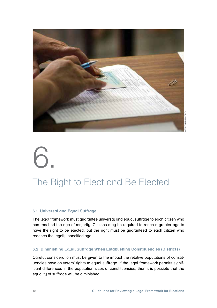<span id="page-23-0"></span>

# 6.

### The Right to Elect and Be Elected

### **6.1. Universal and Equal Suffrage**

The legal framework must guarantee universal and equal suffrage to each citizen who has reached the age of majority. Citizens may be required to reach a greater age to have the right to be elected, but the right must be guaranteed to each citizen who reaches the legally specified age.

### **6.2. Diminishing Equal Suffrage When Establishing Constituencies (Districts)**

Careful consideration must be given to the impact the relative populations of constituencies have on voters' rights to equal suffrage. If the legal framework permits significant differences in the population sizes of constituencies, then it is possible that the equality of suffrage will be diminished.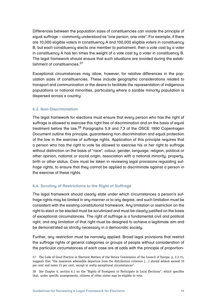<span id="page-24-0"></span>Differences between the population sizes of constituencies can violate the principle of equal suffrage – commonly understood as "one person, one vote". For example, if there are 10,000 eligible voters in constituency A and 100,000 eligible voters in constituency B, but each constituency elects one member to parliament, then a vote cast by a voter in constituency A has ten times the weight of a vote cast by a voter in constituency B. The legal framework should ensure that such situations are avoided during the establishment of constituencies.<sup>27</sup>

Exceptional circumstances may allow, however, for relative differences in the population sizes of constituencies. These include geographic considerations related to transport and communication or the desire to facilitate the representation of indigenous populations or national minorities, particularly where a sizable minority population is dispersed across a country.

### **6.3. Non-Discrimination**

The legal framework for elections must ensure that every person who has the right of suffrage is allowed to exercise this right free of discrimination and on the basis of equal treatment before the law.28 Paragraphs 5.9 and 7.3 of the OSCE 1990 Copenhagen Document outline this principle, guaranteeing non-discrimination and equal protection of the law in the exercise of suffrage rights. Application of this principle requires that a person who has the right to vote be allowed to exercise his or her right to suffrage without distinction on the basis of "race", colour, gender, language, religion, political or other opinion, national or social origin, association with a national minority, property, birth or other status. Care must be taken in reviewing legal provisions regulating suffrage rights, to ensure that they cannot be applied to discriminate against a person in the exercise of these rights.

### **6.4. Scrutiny of Restrictions to the Right of Suffrage**

The legal framework should clearly state under which circumstances a person's suffrage rights may be limited in any manner or to any degree, and such limitation must be consistent with the existing constitutional framework. Any limitation or restriction on the right to elect or be elected must be scrutinized and must be clearly justified on the basis of exceptional circumstances. The right of suffrage is a fundamental civil and political right, and any limitation of that right must be designed to achieve a legitimate aim and be demonstrated as strictly necessary in a democratic society.

Further, any restriction must be narrowly applied. Broad legal provisions that restrict the suffrage rights of general categories or groups of people without consideration of the particular circumstances of each case are at odds with the principle of proportion-

<sup>27</sup> The Code of Good Practice in Electoral Matters of the Venice Commission of the Council of Europe, p. 2.2.15, suggests that "the maximum admissible departure from the distribution criterion […] should seldom exceed 10 per cent and never 15 per cent, except in really exceptional circumstances".

<sup>28</sup> See Chapter 6, section 6.1 on the "Rights of Foreigners to Participate in Local Elections", which specifies that, under specific arrangements, citizens of other states may be eligible to vote.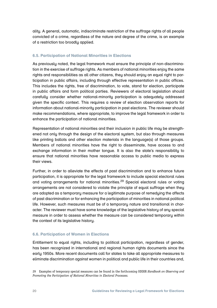<span id="page-25-0"></span>ality. A general, automatic, indiscriminate restriction of the suffrage rights of all people convicted of a crime, regardless of the nature and degree of the crime, is an example of a restriction too broadly applied.

#### **6.5. Participation of National Minorities in Elections**

As previously noted, the legal framework must ensure the principle of non-discrimination in the exercise of suffrage rights. As members of national minorities enjoy the same rights and responsibilities as all other citizens, they should enjoy an equal right to participation in public affairs, including through effective representation in public offices. This includes the rights, free of discrimination, to vote, stand for election, participate in public affairs and form political parties. Reviewers of electoral legislation should carefully consider whether national-minority participation is adequately addressed given the specific context. This requires a review of election observation reports for information about national-minority participation in past elections. The reviewer should make recommendations, where appropriate, to improve the legal framework in order to enhance the participation of national minorities.

Representation of national minorities and their inclusion in public life may be strengthened not only through the design of the electoral system, but also through measures like printing ballots and other election materials in the language(s) of those groups. Members of national minorities have the right to disseminate, have access to and exchange information in their mother tongue. It is also the state's responsibility to ensure that national minorities have reasonable access to public media to express their views.

Further, in order to alleviate the effects of past discrimination and to enhance future participation, it is appropriate for the legal framework to include special electoral rules and voting arrangements for national minorities.29 Special electoral rules or voting arrangements are not considered to violate the principle of equal suffrage when they are adopted as a temporary measure for a legitimate purpose of remedying the affects of past discrimination or for enhancing the participation of minorities in national political life. However, such measures must be of a temporary nature and transitional in character. The reviewer must have some knowledge of the legislative history of any special measure in order to assess whether the measure can be considered temporary within the context of its legislative history.

### **6.6. Participation of Women in Elections**

Entitlement to equal rights, including to political participation, regardless of gender, has been recognized in international and regional human rights documents since the early 1950s. More recent documents call for states to take all appropriate measures to eliminate discrimination against women in political and public life in their countries and,

<sup>29</sup> Examples of temporary special measures can be found in the forthcoming ODIHR *Handbook on Observing and Promoting the Participation of National Minorities in Electoral Processes.*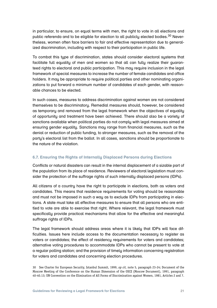<span id="page-26-0"></span>in particular, to ensure, on equal terms with men, the right to vote in all elections and public referenda and to be eligible for election to all publicly elected bodies.<sup>30</sup> Nevertheless, women often face barriers to fair and effective representation due to generalized discrimination, including with respect to their participation in public life.

To combat this tupe of discrimination, states should consider electoral sustems that facilitate full equality of men and women so that all can fully realize their guaranteed rights to electoral and public participation. This may require inclusion in the legal framework of special measures to increase the number of female candidates and office holders. It may be appropriate to require political parties and other nominating organizations to put forward a minimum number of candidates of each gender, with reasonable chances to be elected.

In such cases, measures to address discrimination against women are not considered themselves to be discriminatory. Remedial measures should, however, be considered as temporary and removed from the legal framework when the objectives of equality of opportunity and treatment have been achieved. There should also be a variety of sanctions available when political parties do not comply with legal measures aimed at ensuring gender equality. Sanctions may range from financial measures, such as the denial or reduction of public funding, to stronger measures, such as the removal of the party's electoral list from the ballot. In all cases, sanctions should be proportionate to the nature of the violation.

### **6.7. Ensuring the Rights of Internally Displaced Persons during Elections**

Conflicts or natural disasters can result in the internal displacement of a sizable part of the population from its place of residence. Reviewers of electoral legislation must consider the protection of the suffrage rights of such internally displaced persons (IDPs).

All citizens of a country have the right to participate in elections, both as voters and candidates. This means that residence requirements for voting should be reasonable and must not be imposed in such a way as to exclude IDPs from participating in elections. A state must take all effective measures to ensure that all persons who are entitled to vote are able to exercise that right. Where relevant, the legal framework must specifically provide practical mechanisms that allow for the effective and meaningful suffrage rights of IDPs.

The legal framework should address areas where it is likely that IDPs will face difficulties. Issues here include access to the documentation necessary to register as voters or candidates; the effect of residency requirements for voters and candidates; alternative voting procedures to accommodate IDPs who cannot be present to vote at a regular polling station; and the provision of timely information concerning registration for voters and candidates and concerning election procedures.

<sup>30</sup> See Charter for European Security, Istanbul Summit, 1999, *op cit,* note 5, paragraph 23-24; Document of the Moscow Meeting of the Conference on the Human Dimension of the OSCE (Moscow Document), 1991, paragraph 40-40.13; UN Convention on the Elimination of All Forms of Discrimination against Women, 1981, Articles 2 and 7.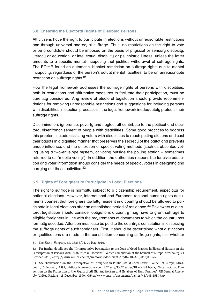### <span id="page-27-0"></span>**6.8. Ensuring the Electoral Rights of Disabled Persons**

All citizens have the right to participate in elections without unreasonable restrictions and through universal and equal suffrage. Thus, no restrictions on the right to vote or be a candidate should be imposed on the basis of physical or sensory disability, literacy or education, or intellectual disability or psychiatric illness, unless the latter amounts to a specific mental incapacity that justifies withdrawal of suffrage rights. The ECtHR found an automatic, blanket restriction on suffrage rights due to mental incapacity, regardless of the person's actual mental faculties, to be an unreasonable restriction on suffrage rights.<sup>31</sup>

How the legal framework addresses the suffrage rights of persons with disabilities, both in restrictions and affirmative measures to facilitate their participation, must be carefully considered. Any review of electoral legislation should provide recommendations for removing unreasonable restrictions and suggestions for including persons with disabilities in election processes if the legal framework inadequately protects their suffrage rights.

Discrimination, ignorance, poverty and neglect all contribute to the political and electoral disenfranchisement of people with disabilities. Some good practices to address this problem include assisting voters with disabilities to reach polling stations and cast their ballots in a dignified manner that preserves the secrecy of the ballot and prevents undue influence, and the utilization of special voting methods (such as absentee voting using a two-envelope system, or voting outside the polling station – sometimes referred to as "mobile voting"). In addition, the authorities responsible for civic education and voter information should consider the needs of special voters in designing and carrying out these activities.<sup>32</sup>

### **6.9. Rights of Foreigners to Participate in Local Elections**

The right to suffrage is normally subject to a citizenship requirement, especially for national elections. However, international and European regional human rights documents counsel that foreigners lawfully resident in a country should be allowed to participate in local elections after an established period of residence.<sup>33</sup> Reviewers of electoral legislation should consider obligations a country may have to grant suffrage to eligible foreigners in line with the requirements of documents to which the country has formally acceded. Attention must also be paid to the country's constitution in assessing the suffrage rights of such foreigners. First, it should be ascertained what distinctions or qualifications are made in the constitution concerning suffrage rights, i.e., whether

31 See *Kiss v. Hungary*, no. 38832/06, 20 May 2010.

32 For further details see the "Interpretative Declaration to the Code of Good Practice in Electoral Matters on the Participation of Persons with Disabilities in Elections", Venice Commission of the Council of Europe, Strasbourg, 21 October 2010, <[http://www.venice.coe.int/webforms/documents/?pdf=CDL-AD\(2010\)036-e](http://www.venice.coe.int/webforms/documents/?pdf=CDL-AD(2010)036-e)>.

33 See "Convention on the Participation of Foreigners in Public Life at Local Level", Council of Europe, Strasbourg, 5 February 1992, [<http://conventions.coe.int/Treaty/EN/Treaties/Html/144.htm](http://conventions.coe.int/Treaty/EN/Treaties/Html/144.htm)>; "International Convention on the Protection of the Rights of All Migrant Workers and Members of Their Families", UN General Assembly, United Nations, 18 December 1990, <[http://www.un.org/documents/ga/res/45/a45r158.htm>](http://www.un.org/documents/ga/res/45/a45r158.htm).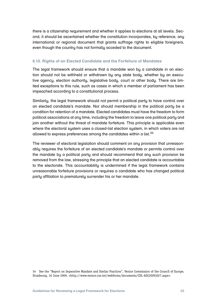<span id="page-28-0"></span>there is a citizenship requirement and whether it applies to elections at all levels. Second, it should be ascertained whether the constitution incorporates, by reference, any international or regional document that grants suffrage rights to eligible foreigners, even though the country has not formally acceded to the document.

### **6.10. Rights of an Elected Candidate and the Forfeiture of Mandates**

The legal framework should ensure that a mandate won by a candidate in an election should not be withheld or withdrawn by any state body, whether by an executive agency, election authority, legislative body, court or other body. There are limited exceptions to this rule, such as cases in which a member of parliament has been impeached according to a constitutional process.

Similarly, the legal framework should not permit a political party to have control over an elected candidate's mandate. Nor should membership in the political party be a condition for retention of a mandate. Elected candidates must have the freedom to form political associations at any time, including the freedom to leave one political party and join another without the threat of mandate forfeiture. This principle is applicable even where the electoral sustem uses a closed-list election sustem, in which voters are not allowed to express preferences among the candidates within a list.<sup>34</sup>

The reviewer of electoral legislation should comment on any provision that unreasonably requires the forfeiture of an elected candidate's mandate or permits control over the mandate by a political party and should recommend that any such provision be removed from the law, stressing the principle that an elected candidate is accountable to the electorate. This accountability is undermined if the legal framework contains unreasonable forfeiture provisions or requires a candidate who has changed political party affiliation to prematurely surrender his or her mandate.

34 See the "Report on Imperative Mandate and Similar Practices", Venice Commission of the Council of Europe, Strasbourg, 16 June 2009, <[http://www.venice.coe.int/webforms/documents/CDL-AD\(2009\)027.aspx](http://www.venice.coe.int/webforms/documents/CDL-AD(2009)027.aspx)>.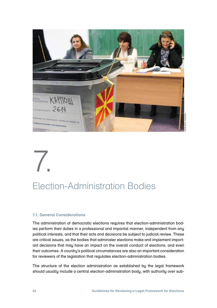<span id="page-29-0"></span>

# 7.

## Election-Administration Bodies

### **7.1. General Considerations**

The administration of democratic elections requires that election-administration bodies perform their duties in a professional and impartial manner, independent from any political interests, and that their acts and decisions be subject to judicial review. These are critical issues, as the bodies that administer elections make and implement important decisions that may have an impact on the overall conduct of elections, and even their outcomes. A country's political circumstances are also an important consideration for reviewers of the legislation that regulates election-administration bodies.

The structure of the election administration as established by the legal framework should usually include a central election-administration body, with authority over sub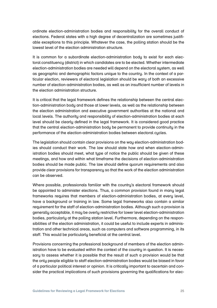ordinate election-administration bodies and responsibility for the overall conduct of elections. Federal states with a high degree of decentralization are sometimes justifiable exceptions to this principle. Whatever the case, the polling station should be the lowest level of the election administration structure.

It is common for a subordinate election-administration body to exist for each electoral constituency (district) in which candidates are to be elected. Whether intermediate election-administration bodies are needed will depend on the electoral sustem, as well as geographic and demographic factors unique to the country. In the context of a particular election, reviewers of electoral legislation should be wary of both an excessive number of election-administration bodies, as well as an insufficient number of levels in the election administration structure.

It is critical that the legal framework defines the relationship between the central election-administration body and those at lower levels, as well as the relationship between the election administration and executive government authorities at the national and local levels. The authority and responsibility of election-administration bodies at each level should be clearly defined in the legal framework. It is considered good practice that the central election-administration body be permanent to provide continuity in the performance of the election-administration bodies between electoral cycles.

The legislation should contain clear provisions on the way election-administration bodies should conduct their work. The law should state how and when election-administration bodies should meet, what tupe of notice the public should be given of these meetings, and how and within what timeframe the decisions of election-administration bodies should be made public. The law should define quorum requirements and also provide clear provisions for transparency so that the work of the election administration can be observed.

Where possible, professionals familiar with the country's electoral framework should be appointed to administer elections. Thus, a common provision found in many legal frameworks requires that members of election-administration bodies, at every level, have a background or training in law. Some legal frameworks also contain a similar requirement for the staff of election-administration bodies. Although such a provision is generally acceptable, it may be overly restrictive for lower level election-administration bodies, particularly at the polling station level. Furthermore, depending on the responsibilities of the election administration, it could be useful to include experts in administration and other technical areas, such as computers and software programming, in its staff. This would be particularly beneficial at the central level.

Provisions concerning the professional background of members of the election administration have to be evaluated within the context of the country in question. It is necessary to assess whether it is possible that the result of such a provision would be that the only people eligible to staff election-administration bodies would be biased in favor of a particular political interest or opinion. It is critically important to ascertain and consider the practical implications of such provisions governing the qualifications for elec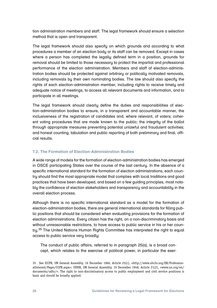<span id="page-31-0"></span>tion administration members and staff. The legal framework should ensure a selection method that is open and transparent.

The legal framework should also specify on which grounds and according to what procedures a member of an election body or its staff can be removed. Except in cases where a person has completed the legally defined term in a position, grounds for removal should be limited to those necessary to protect the impartial and professional performance of the election administration. Members and staff of election-administration bodies should be protected against arbitrary or politically motivated removals, including removals by their own nominating bodies. The law should also specify the rights of each election-administration member, including rights to receive timely and adequate notice of meetings, to access all relevant documents and information, and to participate in all meetings.

The legal framework should clearly define the duties and responsibilities of election-administration bodies to ensure, in a transparent and accountable manner, the inclusiveness of the registration of candidates and, where relevant, of voters; coherent voting procedures that are made known to the public; the integrity of the ballot through appropriate measures preventing potential unlawful and fraudulent activities; and honest counting, tabulation and public reporting of both preliminary and final, official results.

### **7.2. The Formation of Election-Administration Bodies**

A wide range of models for the formation of election-administration bodies has emerged in OSCE participating States over the course of the last century. In the absence of a specific international standard for the formation of election administrations, each country should find the most appropriate model that complies with local traditions and good practices that have been developed, and based on a few guiding principles, most notably the confidence of election stakeholders and transparency and accountability in the overall election process.

Although there is no specific international standard as a model for the formation of election-administration bodies, there are general international standards for filling public positions that should be considered when evaluating provisions for the formation of election administrations. Every citizen has the right, on a non-discriminatory basis and without unreasonable restrictions, to have access to public service in his or her country.<sup>35</sup> The United Nations Human Rights Committee has interpreted the right to equal access to public service very broadly:

The conduct of public affairs, referred to in paragraph  $25(a)$ , is a broad concept, which relates to the exercise of political power, in particular the exer-

<sup>35</sup> See ICCPR, UN General Assembly, 16 December 1966, Article 25(c), <http://www.ohchr.org/EN/ProfessionalInterest/Pages/CCPR.aspx>; UDHR, UN General Assembly, 10 December 1948, Article 21(2), <[www.un.org/en/](http://www.un.org/en/documents/udhr/) [documents/udhr/>](http://www.un.org/en/documents/udhr/). The right to non-discriminatory access to public employment and civil service positions is basic and should be broadly applied.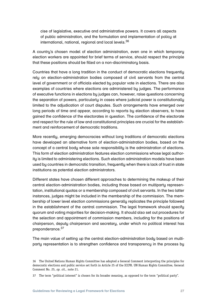cise of legislative, executive and administrative powers. It covers all aspects of public administration, and the formulation and implementation of policy at international, national, regional and local levels.<sup>36</sup>

A country's chosen model of election administration, even one in which temporary election workers are appointed for brief terms of service, should respect the principle that these positions should be filled on a non-discriminatory basis.

Countries that have a long tradition in the conduct of democratic elections frequently rely on election-administration bodies composed of civil servants from the central level of government or of officials elected by popular vote in elections. There are also examples of countries where elections are administered by judges. The performance of executive functions in elections by judges can, however, raise questions concerning the separation of powers, particularly in cases where judicial power is constitutionally limited to the adjudication of court disputes. Such arrangements have emerged over long periods of time and appear, according to reports by election observers, to have gained the confidence of the electorates in question. The confidence of the electorate and respect for the rule of law and constitutional principles are crucial for the establishment and reinforcement of democratic traditions.

More recently, emerging democracies without long traditions of democratic elections have developed an alternative form of election-administration bodies, based on the concept of a central body whose sole responsibility is the administration of elections. This form of election administration features election commissions whose legal authority is limited to administering elections. Such election administration models have been used by countries in democratic transition, frequently when there is lack of trust in state institutions as potential election administrators.

Different states have chosen different approaches to determining the makeup of their central election-administration bodies, including those based on multiparty representation, institutional quotas or a membership composed of civil servants. In the two latter instances, judges might be included in the membership of the commission. The membership of lower level election commissions generally replicates the principle followed in the establishment of the central commission. The legal framework should specify quorum and voting majorities for decision-making. It should also set out procedures for the selection and appointment of commission members, including for the positions of chairperson, deputy chairperson and secretary, under which no political interest has preponderance.<sup>37</sup>

The main value of setting up the central election-administration body based on multiparty representation is to strengthen confidence and transparency in the process by

<sup>36</sup> The United Nations Human Rights Committee has adopted a General Comment interpreting the principles for democratic elections and public service set forth in Article 25 of the ICCPR. UN Human Rights Committee, General Comment No. 25, *op. cit.,* note 21.

<sup>37</sup> The term "political interest" is chosen for its broader meaning, as opposed to the term "political party".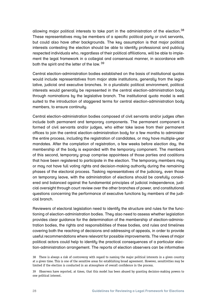allowing major political interests to take part in the administration of the election.<sup>38</sup> These representatives may be members of a specific political party or civil servants, but could also have other backgrounds. The key assumption is that major political interests contesting the election should be able to identify professional and publicly respected individuals who, regardless of their political affiliations, will be able to implement the legal framework in a collegial and consensual manner, in accordance with both the spirit and the letter of the law. <sup>39</sup>

Central election-administration bodies established on the basis of institutional quotas would include representatives from major state institutions, generally from the legislative, judicial and executive branches. In a pluralistic political environment, political interests would generally be represented in the central election-administration body through nominations by the legislative branch. The institutional quota model is well suited to the introduction of staggered terms for central election-administration body members, to ensure continuity.

Central election-administration bodies composed of civil servants and/or judges often include both permanent and temporary components. The permanent component is formed of civil servants and/or judges, who either take leave from their permanent offices to join the central election-administration body for a few months to administer the entire process, including the registration of candidates, or may have multiple-year mandates. After the completion of registration, a few weeks before election day, the membership of the body is expanded with the temporary component. The members of this second, temporary group comprise appointees of those parties and coalitions that have been registered to participate in the election. The temporary members may or may not have full voting rights and decision-making authority during the remaining phases of the electoral process. Tasking representatives of the judiciary, even those on temporary leave, with the administration of elections should be carefully considered and balanced against the fundamental principles of judicial independence, judicial oversight through court review over the other branches of power, and constitutional questions concerning the performance of executive functions by members of the judicial branch.

Reviewers of electoral legislation need to identify the structure and rules for the functioning of election-administration bodies. They also need to assess whether legislation provides clear guidance for the determination of the membership of election-administration bodies, the rights and responsibilities of these bodies, and rules and timelines covering both the reaching of decisions and addressing of appeals, in order to provide useful recommendations where relevant for possible improvements. The views of major political actors could help to identify the practical consequences of a particular election-administration arrangement. The reports of election observers can be informative

<sup>38</sup> There is always a risk of controversy with regard to naming the major political interests in a given country at a given time. This is one of the sensitive areas for establishing broad agreement. However, sensitivities may be limited if the election is conducted in an atmosphere of overall confidence in the process.

<sup>39</sup> Observers have reported, at times, that this model has been abused by granting decision-making powers to one political interest.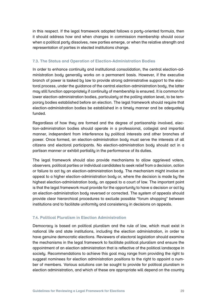<span id="page-34-0"></span>in this respect. If the legal framework adopted follows a party-oriented formula, then it should address how and when changes in commission membership should occur when a political party dissolves, new parties emerge, or when the relative strength and representation of parties in elected institutions change.

### **7.3. The Status and Operation of Election-Administration Bodies**

In order to enhance continuity and institutional consolidation, the central election-administration body generally works on a permanent basis. However, if the executive branch of power is tasked by law to provide strong administrative support to the electoral process, under the guidance of the central election-administration body, the latter may still function appropriately if continuity of membership is ensured. It is common for lower election-administration bodies, particularly at the polling station level, to be temporary bodies established before an election. The legal framework should require that election-administration bodies be established in a timely manner and be adequately funded.

Regardless of how they are formed and the degree of partisanship involved, election-administration bodies should operate in a professional, collegial and impartial manner, independent from interference by political interests and other branches of power. Once formed, an election-administration body must serve the interests of all citizens and electoral participants. No election-administration body should act in a partisan manner or exhibit partiality in the performance of its duties.

The legal framework should also provide mechanisms to allow aggrieved voters, observers, political parties or individual candidates to seek relief from a decision, action or failure to act by an election-administration body. The mechanism might involve an appeal to a higher election-administration body or, where the decision is made by the highest election-administration body, an appeal to a court of law. The important point is that the legal framework must provide for the opportunity to have a decision or act by an election-administration body reversed or corrected. The system of appeals should provide clear hierarchical procedures to exclude possible "forum shopping" between institutions and to facilitate uniformity and consistency in decisions on appeals.

### **7.4. Political Pluralism in Election Administration**

Democracy is based on political pluralism and the rule of law, which must exist in national life and state institutions, including the election administration, in order to have genuine democratic elections. Reviewers of electoral legislation should examine the mechanisms in the legal framework to facilitate political pluralism and ensure the appointment of an election administration that is reflective of the political landscape in society. Recommendations to achieve this goal may range from providing the right to suggest nominees for election administration positions to the right to appoint a number of members. Various solutions can be sought to provide for political pluralism in election administration, and which of these are appropriate will depend on the country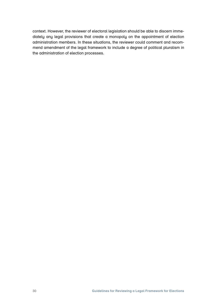context. However, the reviewer of electoral legislation should be able to discern immediately any legal provisions that create a monopoly on the appointment of election administration members. In these situations, the reviewer could comment and recommend amendment of the legal framework to include a degree of political pluralism in the administration of election processes.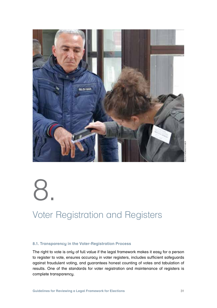

## 8.

#### Voter Registration and Registers

#### **8.1. Transparency in the Voter-Registration Process**

The right to vote is only of full value if the legal framework makes it easy for a person to register to vote, ensures accuracy in voter registers, includes sufficient safeguards against fraudulent voting, and guarantees honest counting of votes and tabulation of results. One of the standards for voter registration and maintenance of registers is complete transparency.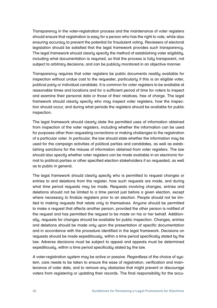Transparency in the voter-registration process and the maintenance of voter registers should ensure that registration is easy for a person who has the right to vote, while also ensuring accuracy to prevent the potential for fraudulent voting. Reviewers of electoral legislation should be satisfied that the legal framework provides such transparency. The legal framework should clearly specify the method of establishing voter eligibility, including what documentation is required, so that the process is fully transparent, not subject to arbitrary decisions, and can be publicly monitored in an objective manner.

Transparency requires that voter registers be public documents readily available for inspection without undue cost to the requester, particularly if this is an eligible voter, political party or individual candidate. It is common for voter registers to be available at reasonable times and locations and for a sufficient period of time for voters to inspect and examine their personal data or those of their relatives, free of charge. The legal framework should clearly specify who may inspect voter registers, how the inspection should occur, and during what periods the registers should be available for public inspection.

The legal framework should clearly state the permitted uses of information obtained from inspection of the voter registers, including whether the information can be used for purposes other than requesting corrections or making challenges to the registration of a particular voter. In particular, the law should state whether the information may be used for the campaign activities of political parties and candidates, as well as establishing sanctions for the misuse of information obtained from voter registers. The law should also specify whether voter registers can be made available in an electronic format to political parties or other specified election stakeholders if so requested, as well as to public in general.

The legal framework should clearly specify who is permitted to request changes or entries to and deletions from the register, how such requests are made, and during what time period requests may be made. Requests involving changes, entries and deletions should not be limited to a time period just before a given election, except where necessary to finalize registers prior to an election. People should not be limited to making requests that relate only to themselves. Anyone should be permitted to make a request that affects another person, provided the other person is notified of the request and has permitted the request to be made on his or her behalf. Additionally, requests for changes should be available for public inspection. Changes, entries and deletions should be made only upon the presentation of specific documentation and in accordance with the procedure identified in the legal framework. Decisions on requests should be made expeditiously, within a time period specifically stated by the law. Adverse decisions must be subject to appeal and appeals must be determined expeditiously, within a time period specifically stated by the law.

A voter-registration system may be active or passive. Regardless of the choice of system, care needs to be taken to ensure the ease of registration, verification and maintenance of voter data, and to remove any obstacles that might prevent or discourage voters from registering or updating their records. The final responsibility for the accu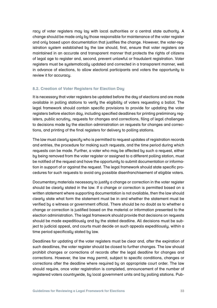racy of voter registers may lay with local authorities or a central state authority. A change should be made only by those responsible for maintenance of the voter register and only based upon documentation that justifies the change. However, the voter-registration system established by the law should, first, ensure that voter registers are maintained in an accurate and transparent manner that protects the rights of citizens of legal age to register and, second, prevent unlawful or fraudulent registration. Voter registers must be systematically updated and corrected in a transparent manner, well in advance of elections, to allow electoral participants and voters the opportunity to review it for accuracy.

#### **8.2. Creation of Voter Registers for Election Day**

It is necessary that voter registers be updated before the day of elections and are made available in polling stations to verify the eligibility of voters requesting a ballot. The legal framework should contain specific provisions to provide for updating the voter registers before election day, including specified deadlines for printing preliminary registers, public scrutiny, requests for changes and corrections, filing of legal challenges to decisions made by the election administration on requests for changes and corrections, and printing of the final registers for delivery to polling stations.

The law must clearly specify who is permitted to request updates of registration records and entries, the procedure for making such requests, and the time period during which requests can be made. Further, a voter who may be affected by such a request, either by being removed from the voter register or assigned to a different polling station, must be notified of the request and have the opportunity to submit documentation or information in support of or against the request. The legal framework should state specific procedures for such requests to avoid any possible disenfranchisement of eligible voters.

Documentary materials necessary to justify a change or correction in the voter register should be clearly stated in the law. If a change or correction is permitted based on a written statement where supporting documentation is not available, then the law should clearly state what form the statement must be in and whether the statement must be verified by a witness or government official. There should be no doubt as to whether a change or correction is justified based on the material or information presented to the election administration. The legal framework should provide that decisions on requests should be made expeditiously and by the stated deadline. All decisions must be subject to judicial appeal, and courts must decide on such appeals expeditiously, within a time period specifically stated by law.

Deadlines for updating of the voter registers must be clear and, after the expiration of such deadlines, the voter register should be closed to further changes. The law should prohibit changes or corrections of records after the legal deadline for changes and corrections. However, the law may permit, subject to specific conditions, changes or corrections after the deadline where required by an appropriate court order. The law should require, once voter registration is completed, announcement of the number of registered voters countrywide, by local government units and by polling stations. Pub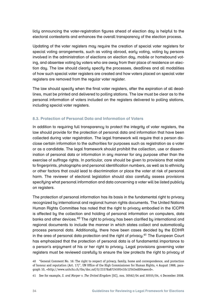licly announcing the voter-registration figures ahead of election day is helpful to the electoral contestants and enhances the overall transparency of the election process.

Updating of the voter registers may require the creation of special voter registers for special voting arrangements, such as voting abroad, early voting, voting by persons involved in the administration of elections on election day, mobile or homebound voting, and absentee voting by voters who are away from their place of residence on election day. The law should clearly specify the processes, deadlines and all modalities of how such special voter registers are created and how voters placed on special voter registers are removed from the regular voter register.

The law should specify when the final voter registers, after the expiration of all deadlines, must be printed and delivered to polling stations. The law must be clear as to the personal information of voters included on the registers delivered to polling stations, including special voter registers.

#### **8.3. Protection of Personal Data and Information of Voters**

In addition to requiring full transparency to protect the integrity of voter registers, the law should provide for the protection of personal data and information that have been collected during voter registration. The legal framework will require that a person disclose certain information to the authorities for purposes such as registration as a voter or as a candidate. The legal framework should prohibit the collection, use or dissemination of personal data or information in any manner for any purpose other than the exercise of suffrage rights. In particular, care should be given to provisions that relate to fingerprints, photographs and personal identification numbers, as well as to ethnicity or other factors that could lead to discrimination or place the voter at risk of personal harm. The reviewer of electoral legislation should also carefully assess provisions specifying what personal information and data concerning a voter will be listed publicly on registers.

The protection of personal information has its basis in the fundamental right to privacy recognized by international and regional human rights documents. The United Nations Human Rights Committee has noted that the right to privacy embodied in the ICCPR is affected by the collection and holding of personal information on computers, data banks and other devices.<sup>40</sup> The right to privacy has been clarified by international and regional documents to include the manner in which states collect and automatically process personal data. Additionally, there have been cases decided by the ECtHR in the area of personal data protection and the right of privacy.41 The European Court has emphasized that the protection of personal data is of fundamental importance to a person's enjoyment of his or her right to privacy. Legal provisions governing voter registers must be reviewed carefully to ensure the law protects the right to privacy of

<sup>40</sup> "General Comment No. 16: The right to respect of privacy, family, home and correspondence, and protection of honour and reputation (Art. 17)", UN Office of the High Commissioner for Human Rights, 4 August 1988, paragraph 10, [<http://www.unhchr.ch/tbs/doc.nsf/0/23378a8724595410c12563ed004aeecd>](http://www.unhchr.ch/tbs/doc.nsf/0/23378a8724595410c12563ed004aeecd).

<sup>41</sup> See for example, *S. and Marper v. The United Kingdom* [GC], nos. 30562/04 and 30555/04, 4 December 2008.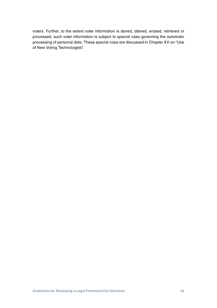voters. Further, to the extent voter information is stored, altered, erased, retrieved or processed, such voter information is subject to special rules governing the automatic processing of personal data. These special rules are discussed in Chapter XV on "Use of New Voting Technologies".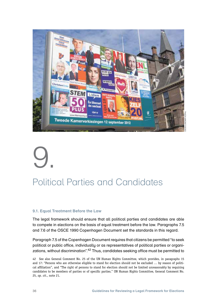

# 9.

#### Political Parties and Candidates

#### **9.1. Equal Treatment Before the Law**

The legal framework should ensure that all political parties and candidates are able to compete in elections on the basis of equal treatment before the law. Paragraphs 7.5 and 7.6 of the OSCE 1990 Copenhagen Document set the standards in this regard.

Paragraph 7.5 of the Copenhagen Document requires that citizens be permitted "to seek political or public office, individually or as representatives of political parties or organizations, without discrimination".42 Thus, candidates seeking office must be permitted to

<sup>42</sup> See also General Comment No. 25 of the UN Human Rights Committee, which provides, in paragraphs 15 and 17: "Persons who are otherwise eligible to stand for election should not be excluded … by reason of political affiliation", and "The right of persons to stand for election should not be limited unreasonably by requiring candidates to be members of parties or of specific parties." UN Human Rights Committee, General Comment No. 25, *op. cit*., note 21.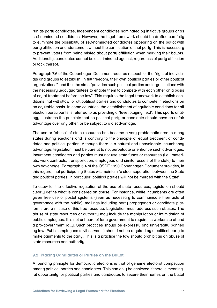run as party candidates, independent candidates nominated by initiative groups or as self-nominated candidates. However, the legal framework should be drafted carefully to eliminate the possibility of self-nominated candidates appearing on the ballot with party affiliation or endorsement without the certification of that party. This is necessary to prevent voters from being misled about party affiliation when marking their ballots. Additionally, candidates cannot be discriminated against, regardless of party affiliation or lack thereof.

Paragraph 7.6 of the Copenhagen Document requires respect for the "right of individuals and groups to establish, in full freedom, their own political parties or other political organizations", and that the state "provides such political parties and organizations with the necessary legal guarantees to enable them to compete with each other on a basis of equal treatment before the law". This requires the legal framework to establish conditions that will allow for all political parties and candidates to compete in elections on an equitable basis. In some countries, the establishment of equitable conditions for all election participants is referred to as providing a "level playing field". This sports analogy illustrates the principle that no political party or candidate should have an unfair advantage over any other, or be subject to a disadvantage.

The use or "abuse" of state resources has become a very problematic area in many states during elections and is contrary to the principle of equal treatment of candidates and political parties. Although there is a natural and unavoidable incumbency advantage, legislation must be careful to not perpetuate or enhance such advantages. Incumbent candidates and parties must not use state funds or resources (i.e., materials, work contracts, transportation, employees and similar assets of the state) to their own advantage. Paragraph 5.4 of the OSCE 1990 Copenhagen Document provides, in this regard, that participating States will maintain "a clear separation between the State and political parties; in particular, political parties will not be merged with the State".

To allow for the effective regulation of the use of state resources, legislation should clearly define what is considered an abuse. For instance, while incumbents are often given free use of postal systems (seen as necessary to communicate their acts of governance with the public), mailings including party propaganda or candidate platforms are a misuse of this free resource. Legislation must address such abuses. The abuse of state resources or authority may include the manipulation or intimidation of public employees. It is not unheard of for a government to require its workers to attend a pro-government rally. Such practices should be expressly and universally banned by law. Public employees (civil servants) should not be required by a political party to make payments to the party. This is a practice the law should prohibit as an abuse of state resources and authority.

#### **9.2. Placing Candidates or Parties on the Ballot**

A founding principle for democratic elections is that of genuine electoral competition among political parties and candidates. This can only be achieved if there is meaningful opportunity for political parties and candidates to secure their names on the ballot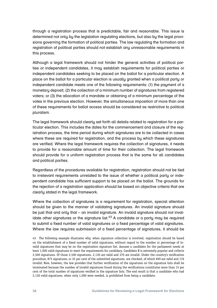through a registration process that is predictable, fair and reasonable. This issue is determined not only by the legislation regulating elections, but also by the legal provisions governing the formation of political parties. The law regulating the formation and registration of political parties should not establish any unreasonable requirements in this process.

Although a legal framework should not hinder the general activities of political parties or independent candidates, it may establish requirements for political parties or independent candidates seeking to be placed on the ballot for a particular election. A place on the ballot for a particular election is usually granted when a political party or independent candidate meets one of the following requirements: (1) the payment of a monetary deposit; (2) the collection of a minimum number of signatures from registered voters; or (3) the allocation of a mandate or obtaining of a minimum percentage of the votes in the previous election. However, the simultaneous imposition of more than one of these requirements for ballot access should be considered as restrictive to political pluralism.

The legal framework should clearly set forth all details related to registration for a particular election. This includes the dates for the commencement and closure of the registration process, the time period during which signatures are to be collected in cases where these are required for registration, and the process by which these signatures are verified. Where the legal framework requires the collection of signatures, it needs to provide for a reasonable amount of time for their collection. The legal framework should provide for a uniform registration process that is the same for all candidates and political parties.

Regardless of the procedures available for registration, registration should not be tied to irrelevant requirements unrelated to the issue of whether a political party or independent candidate has sufficient support to be placed on the ballot. The grounds for the rejection of a registration application should be based on objective criteria that are clearly stated in the legal framework.

Where the collection of signatures is a requirement for registration, special attention should be given to the manner of validating signatures. An invalid signature should be just that and only that – an invalid signature. An invalid signature should not invalidate other signatures or the signature list. $43$  A candidate or a party may be required to submit a fixed number of valid signatures or a fixed percentage of valid signatures. Where the law requires submission of a fixed percentage of signatures, it should be

43 The following example illustrates why, when signature collection is involved, registration should be based on the establishment of a fixed number of valid signatures, without regard to the number or percentage of invalid signatures that may be on the registration signature list. Assume a candidate for the parliament needs at least 1,000 valid signatures to meet the requirements for candidacy. Candidate B is extremely popular and collects 2,500 signatures. Of those 2,500 signatures, 2,130 are valid and 370 are invalid. Under the country's verification procedure, 875 signatures, or 35 per cent of the submitted signatures, are checked, of which 699 are valid and 176 invalid. Now, however, the law provides that further verification of the signatures on the signature lists shall be terminated because the number of invalid signatures found during the verifications constitutes more than 15 per cent of the total number of signatures verified in the signature lists. The end result is that a candidate who had 2,130 valid signatures, when only 1,000 were needed, is prohibited from being a candidate.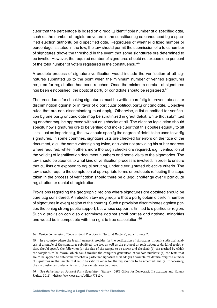clear that the percentage is based on a readily identifiable number at a specified date, such as the number of registered voters in the constituency as announced by a specified election authority on a specified date. Regardless of whether a fixed number or percentage is stated in the law, the law should permit the submission of a total number of signatures above the threshold in the event that some signatures are determined to be invalid. However, the required number of signatures should not exceed one per cent of the total number of voters registered in the constituency.<sup>44</sup>

A credible process of signature verification would include the verification of all signatures submitted up to the point when the minimum number of verified signatures required for registration has been reached. Once the minimum number of signatures has been established, the political party or candidate should be registered.<sup>45</sup>

The procedures for checking signatures must be written carefully to prevent abuses or discrimination against or in favor of a particular political party or candidate. Objective rules that are non-discriminatory must apply. Otherwise, a list submitted for verification by one party or candidate may be scrutinized in great detail, while that submitted by another may be approved without any checks at all. The election legislation should specify how signatures are to be verified and make clear that this applies equally to all lists. Just as importantly, the law should specify the degree of detail to be used to verify signatures. In some countries, signature lists are checked for errors on the face of the document, e.g., the same voter signing twice, or a voter not providing his or her address where required, while in others more thorough checks are required, e.g., verification of the validity of identification document numbers and home visits to the signatories. The law should be clear as to what kind of verification process is involved, in order to ensure that all lists are exposed to equal scrutiny, under clearly stated objective criteria. The law should require the completion of appropriate forms or protocols reflecting the steps taken in the process of verification should there be a legal challenge over a particular registration or denial of registration.

Provisions regarding the geographic regions where signatures are obtained should be carefully considered. An election law may require that a party obtain a certain number of signatures in every region of the country. Such a provision discriminates against parties that enjoy strong public support, but whose support is limited to a particular region. Such a provision can also discriminate against small parties and national minorities and would be incompatible with the right to free association.<sup>46</sup>

44 Venice Commission, "Code of Good Practices in Electoral Matters", *op. cit.*, note 2.

45 In a country where the legal framework provides for the verification of signatures through statistical analysis of a sample of the signatures submitted, the law, as well as the protocol on registration or denial of registration, should specify the following: (a) the size of the sample to be drawn and checked; (b) the method by which the sample is to be drawn, which could involve the computer generation of random numbers; (c) the tests that are to be applied to determine whether a particular signature is valid; (d) a formula for determining the number of signatures in the sample that must be valid in order for the registration to be accepted; and (e) if necessary, the circumstances under which a further sample may be drawn.

46 See *Guidelines on Political Party Regulation* (Warsaw: OSCE Office for Democratic Institutions and Human Rights, 2011), [<http://www.osce.org/odihr/77812](http://www.osce.org/odihr/77812)>.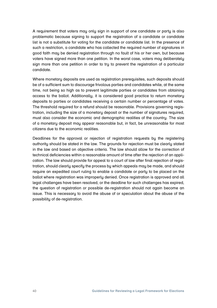A requirement that voters may only sign in support of one candidate or party is also problematic because signing to support the registration of a candidate or candidate list is not a substitute for voting for the candidate or candidate list. In the presence of such a restriction, a candidate who has collected the required number of signatures in good faith may be denied registration through no fault of his or her own, but because voters have signed more than one petition. In the worst case, voters may deliberately sign more than one petition in order to try to prevent the registration of a particular candidate.

Where monetary deposits are used as registration prerequisites, such deposits should be of a sufficient sum to discourage frivolous parties and candidates while, at the same time, not being so high as to prevent legitimate parties or candidates from obtaining access to the ballot. Additionally, it is considered good practice to return monetary deposits to parties or candidates receiving a certain number or percentage of votes. The threshold required for a refund should be reasonable. Provisions governing registration, including the size of a monetary deposit or the number of signatures required, must also consider the economic and demographic realities of the country. The size of a monetary deposit may appear reasonable but, in fact, be unreasonable for most citizens due to the economic realities.

Deadlines for the approval or rejection of registration requests by the registering authority should be stated in the law. The grounds for rejection must be clearly stated in the law and based on objective criteria. The law should allow for the correction of technical deficiencies within a reasonable amount of time after the rejection of an application. The law should provide for appeal to a court of law after final rejection of registration, should clearly specify the process by which appeals may be made, and should require an expedited court ruling to enable a candidate or party to be placed on the ballot where registration was improperly denied. Once registration is approved and all legal challenges have been resolved, or the deadline for such challenges has expired, the question of registration or possible de-registration should not again become an issue. This is necessary to avoid the abuse of or speculation about the abuse of the possibility of de-registration.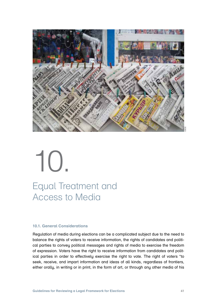

### 10. Equal Treatment and Access to Media

#### **10.1. General Considerations**

Regulation of media during elections can be a complicated subject due to the need to balance the rights of voters to receive information, the rights of candidates and political parties to convey political messages and rights of media to exercise the freedom of expression. Voters have the right to receive information from candidates and political parties in order to effectively exercise the right to vote. The right of voters "to seek, receive, and impart information and ideas of all kinds, regardless of frontiers, either orally, in writing or in print, in the form of art, or through any other media of his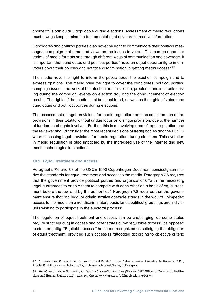choice, $47$  is particularly applicable during elections. Assessment of media regulations must always keep in mind the fundamental right of voters to receive information.

Candidates and political parties also have the right to communicate their political messages, campaign platforms and views on the issues to voters. This can be done in a variety of media formats and through different ways of communication and coverage. It is important that candidates and political parties "have an equal opportunitu to inform voters about their policies and not face discrimination in getting media access".<sup>48</sup>

The media have the right to inform the public about the election campaign and to express opinions. The media have the right to cover the candidates, political parties, campaign issues, the work of the election administration, problems and incidents arising during the campaign, events on election day and the announcement of election results. The rights of the media must be considered, as well as the rights of voters and candidates and political parties during elections.

The assessment of legal provisions for media regulation requires consideration of the provisions in their totality without undue focus on a single provision, due to the number of fundamental rights involved. Further, this is an evolving area of legal regulation and the reviewer should consider the most recent decisions of treaty bodies and the ECtHR when assessing legal provisions for media regulation during elections. This evolution in media regulation is also impacted by the increased use of the Internet and new media technologies in elections.

#### **10.2. Equal Treatment and Access**

Paragraphs 7.6 and 7.8 of the OSCE 1990 Copenhagen Document concisely summarize the standards for equal treatment and access to the media. Paragraph 7.6 requires that the government provide political parties and organizations "with the necessary legal guarantees to enable them to compete with each other on a basis of equal treatment before the law and by the authorities". Paragraph 7.8 requires that the government ensure that "no legal or administrative obstacle stands in the way of unimpeded access to the media on a nondiscriminatory basis for all political groupings and individuals wishing to participate in the electoral process".

The regulation of equal treatment and access can be challenging, as some states require strict equality in access and other states allow "equitable access", as opposed to strict equality. "Equitable access" has been recognized as satisfying the obligation of equal treatment, provided such access is "allocated according to objective criteria

<sup>47</sup> "International Covenant on Civil and Political Rights", United Nations General Assembly, 16 December 1966, Article 19 <[http://www.ohchr.org/EN/ProfessionalInterest/Pages/CCPR.aspx>](http://www.ohchr.org/EN/ProfessionalInterest/Pages/CCPR.aspx).

<sup>48</sup> *Handbook on Media Monitoring for Election Observation Missions* (Warsaw: OSCE Office for Democratic Institutions and Human Rights, 2012), page 14, <<http://www.osce.org/odihr/elections/92057>>.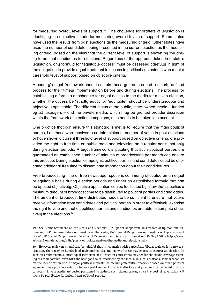for measuring overall levels of support."<sup>49</sup> The challenge for drafters of legislation is identifying the objective criteria for measuring overall levels of support. Some states have used the results from past elections as the measuring criteria. Other states have used the number of candidates being presented in the current election as the measuring criteria, based on the view that the current level of support is shown by the ability to present candidates for elections. Regardless of the approach taken in a state's legislation, any formula for "equitable access" must be assessed carefully in light of the obligation to provide equal treatment in access to political contestants who meet a threshold level of support based on objective criteria.

A country's legal framework should contain these guarantees and a clearly defined process for their timely implementation before and during elections. The process for establishing a formula or schedule for equal access to the media for a given election, whether the access be "strictly equal" or "equitable", should be understandable and objectively applicable. The different status of the public, state-owned media – funded by all taxpayers – and the private media, which may be granted broader discretion within the framework of election campaigns, also needs to be taken into account.

One practice that can ensure this standard is met is to require that the main political parties, i.e., those who received a certain minimum number of votes in past elections or have shown a current threshold level of support based on objective criteria, are provided the right to free time on public radio and television on a regular basis, not only during election periods. A legal framework stipulating that such political parties are guaranteed an established number of minutes of broadcasting per month can ensure this practice. During election campaigns, political parties and candidates could be allocated additional free time to disseminate information about their candidatures.

Free broadcasting time or free newspaper space is commonly allocated on an equal or equitable basis during election periods and under an established formula that can be applied objectively. Objective application can be facilitated by a law that specifies a minimum amount of broadcast time to be distributed to political parties and candidates. The amount of broadcast time distributed needs to be sufficient to ensure that voters receive information from candidates and political parties in order to effectively exercise the right to vote and that all political parties and candidates are able to compete effectively in the elections.<sup>50</sup>

<sup>49</sup> See "Joint Statement on the Media and Elections", UN Special Rapporteur on Freedom of Opinion and Expression, OSCE Representative on Freedom of the Media, OAS Special Rapporteur on Freedom of Expression and the ACHPR Special Rapporteur on Freedom of Expression and Access to Information, 15 May 2009, [<http://www.](http://www.article19.org/data/files/pdfs/press/joint-statement-on-the-media-and-elections.pdf) [article19.org/data/files/pdfs/press/joint-statement-on-the-media-and-elections.pdf](http://www.article19.org/data/files/pdfs/press/joint-statement-on-the-media-and-elections.pdf)>.

<sup>50</sup> However, reviewers should also be mindful that, in countries with particularly liberal regimes for party registration, there may be hundreds of registered parties and many of these may choose to contest an election. In such an environment, a strict equal treatment of all election contestants may render the media coverage meaningless or impossible, even with the best good-faith treatment by the media. In such situations, some mechanism for the identification of the "major political interests" to receive preferential treatment based on broad political agreement may provide a solution for an equal treatment that is ineffective and provides qualitative information to voters. Private media are better positioned to address such circumstances, since the cost of advertising will likely be prohibitive for insignificant political parties.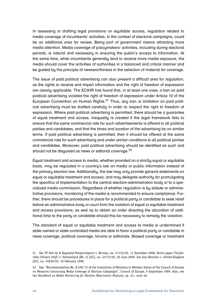In assessing or drafting legal provisions on equitable access, regulation related to media coverage of incumbents' activities, in the context of electoral campaigns, could be an additional area for review. Being part of government means attracting more media attention. Media coverage of policymakers' activities, including during electoral periods, is natural and necessary in ensuring the public's access to information. At the same time, while incumbents generally tend to receive more media exposure, the media should cover the activities of authorities in a balanced and critical manner and be guided by the principle of newsworthiness in the selection of material for coverage.

The issue of paid political advertising can also present a difficult area for regulation, as the rights to receive and impart information and the right of freedom of expression are clearly applicable. The ECtHR has found that, in at least one case, a ban on paid political advertising violated the right of freedom of expression under Article 10 of the European Convention on Human Rights.<sup>51</sup> Thus, any ban or limitation on paid political advertising must be drafted carefully in order to respect the right to freedom of expression. Where paid political advertising is permitted, there should be a guarantee of equal treatment and access. Inequality is created if the legal framework fails to ensure that the same commercial rate for such advertisements is offered to all political parties and candidates, and that the times and location of the advertising be on similar terms. If paid political advertising is permitted, then it should be offered at the same commercial rate for such advertising and under similar conditions to all political parties and candidates. Moreover, paid political advertising should be identified as such and should not be disquised as news or editorial coverage.<sup>52</sup>

Equal treatment and access to media, whether provided on a strictly equal or equitable basis, may be regulated in a country's law on media or public information instead of the primary election law. Additionally, the law may only provide general statements on equal or equitable treatment and access, and may delegate authority for promulgating the specifics of implementation to the central election-administration body or to a specialized media commission. Regardless of whether regulation is by statute or administrative provisions, monitoring of the media is recommended to ensure compliance. Further, there should be procedures in place for a political party or candidate to seek relief before an administrative body or court from the violation of equal or equitable treatment and access provisions, as well as to obtain an order directing the allocation of additional time to the party or candidate should this be necessary to remedy the violation.

The standard of equal or equitable treatment and access to media is undermined if state-owned or state-controlled media are able to favor a political party or candidate in news coverage, political coverage, forums or editorials. Biased coverage or treatment

<sup>51</sup> See *TV Vest As & Rogaland Pensjonistparti v. Norway,* no. 21132/05, 11 December 2008; *Verein gegen Tierfabriken Schweiz* (VgT) v. Switzerland (No. 2) [GC], no. 32772/02, 30 June 2009. See also *Bowman v. United Kingdom* [GC], no. 24839/94, 10 February 1998.

<sup>52</sup> See, "Recommendation No. R (99) 15 of the Committee of Ministers to Member States of the Council of Europe on Measures Concerning Media Coverage of Election Campaigns", Council of Europe, 9 September 1999. Also, see the *Handbook on Media Monitoring for Election Observation Missions, op. cit.*, note 48.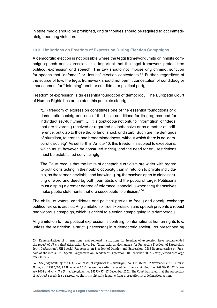in state media should be prohibited, and authorities should be required to act immediately upon any violation.

#### **10.3. Limitations on Freedom of Expression During Election Campaigns**

A democratic election is not possible where the legal framework limits or inhibits campaign speech and expression. It is important that the legal framework protect free political expression and speech. The law should not impose any criminal sanction for speech that "defames" or "insults" election contestants.<sup>53</sup> Further, regardless of the source of law, the legal framework should not permit cancellation of candidacy or imprisonment for "defaming" another candidate or political party.

Freedom of expression is an essential foundation of democracy. The European Court of Human Rights has articulated this principle clearly.

"(…) freedom of expression constitutes one of the essential foundations of a democratic society and one of the basic conditions for its progress and for individual self-fulfillment. …, it is applicable not only to 'information' or 'ideas' that are favorably received or regarded as inoffensive or as a matter of indifference, but also to those that offend, shock or disturb. Such are the demands of pluralism, tolerance and broadmindedness, without which there is no 'democratic society'. As set forth in Article 10, this freedom is subject to exceptions, which must, however, be construed strictly, and the need for any restrictions must be established convincingly.

The Court recalls that the limits of acceptable criticism are wider with regard to politicians acting in their public capacity than in relation to private individuals, as the former inevitably and knowingly lay themselves open to close scrutiny of word and deed by both journalists and the public at large. Politicians must display a greater degree of tolerance, especially when they themselves make public statements that are susceptible to criticism."54

The ability of voters, candidates and political parties to freely and openly exchange political views is crucial. Any limitation of free expression and speech prevents a robust and vigorous campaign, which is critical to election campaigning in a democracy.

Any limitation to free political expression is contrary to international human rights law, unless the restriction is strictly necessary in a democratic society, as prescribed by

<sup>53</sup> Representatives of international and regional institutions for freedom of expression have recommended the repeal of all criminal defamation laws. See "International Mechanisms for Promoting Freedom of Expression, Joint Declaration", UN Special Rapporteur on Freedom of Opinion and Expression, OSCE Representative on Freedom of the Media, OAS Special Rapporteur on Freedom of Expression, 10 December 2002, [<http://www.osce.org/](http://www.osce.org/fom/39838) [fom/39838>](http://www.osce.org/fom/39838).

<sup>54</sup> See judgments by the ECtHR on cases of *Koprivica v. Montenegro,* no. 41158/09, 22 November 2011, *Mizzi v. Malta*, no. 17320/10, 22 November 2011; as well as earlier cases of *Jerusalem v. Austria*, no. 26958/95, 27 February 2001 and *A. v. The United Kingdom*, no. 35373/97, 17 December 2002. The Court has ruled that the protection of political speech is so sacrosanct that it is virtually immune from prosecution in a defamation action.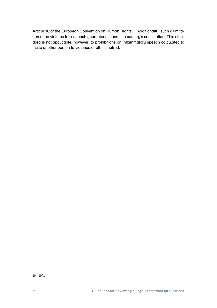Article 10 of the European Convention on Human Rights.<sup>55</sup> Additionally, such a limitation often violates free-speech guarantees found in a country's constitution. This standard is not applicable, however, to prohibitions on inflammatory speech calculated to incite another person to violence or ethnic hatred.

55 *Ibid.*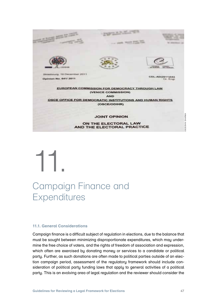

# 11.

#### Campaign Finance and **Expenditures**

#### **11.1. General Considerations**

Campaign finance is a difficult subject of regulation in elections, due to the balance that must be sought between minimizing disproportionate expenditures, which may undermine the free choice of voters, and the rights of freedom of association and expression, which often are exercised by donating money or services to a candidate or political party. Further, as such donations are often made to political parties outside of an election campaign period, assessment of the regulatory framework should include consideration of political party funding laws that apply to general activities of a political party. This is an evolving area of legal regulation and the reviewer should consider the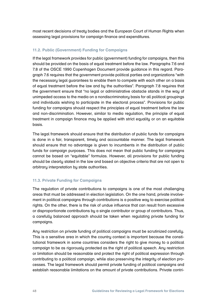most recent decisions of treaty bodies and the European Court of Human Rights when assessing legal provisions for campaign finance and expenditures.

#### **11.2. Public (Government) Funding for Campaigns**

If the legal framework provides for public (government) funding for campaigns, then this should be provided on the basis of equal treatment before the law. Paragraphs 7.6 and 7.8 of the OSCE 1990 Copenhagen Document provide guidance in this regard. Paragraph 7.6 requires that the government provide political parties and organizations "with the necessary legal guarantees to enable them to compete with each other on a basis of equal treatment before the law and by the authorities". Paragraph 7.8 requires that the government ensure that "no legal or administrative obstacle stands in the way of unimpeded access to the media on a nondiscriminatory basis for all political groupings and individuals wishing to participate in the electoral process". Provisions for public funding for campaigns should respect the principles of equal treatment before the law and non-discrimination. However, similar to media regulation, the principle of equal treatment in campaign finance may be applied with strict equality or on an equitable basis.

The legal framework should ensure that the distribution of public funds for campaigns is done in a fair, transparent, timely and accountable manner. The legal framework should ensure that no advantage is given to incumbents in the distribution of public funds for campaign purposes. This does not mean that public funding for campaigns cannot be based on "equitable" formulas. However, all provisions for public funding should be clearly stated in the law and based on objective criteria that are not open to arbitrary interpretation by state authorities.

#### **11.3. Private Funding for Campaigns**

The regulation of private contributions to campaigns is one of the most challenging areas that must be addressed in election legislation. On the one hand, private involvement in political campaigns through contributions is a positive way to exercise political rights. On the other, there is the risk of undue influence that can result from excessive or disproportionate contributions by a single contributor or group of contributors. Thus, a carefully balanced approach should be taken when regulating private funding for campaigns.

Any restriction on private funding of political campaigns must be scrutinized carefully. This is a sensitive area in which the country context is important because the constitutional framework in some countries considers the right to give money to a political campaign to be as rigorously protected as the right of political speech. Any restriction or limitation should be reasonable and protect the right of political expression through contributing to a political campaign, while also preserving the integrity of election processes. The legal framework should permit private funding of political campaigns and establish reasonable limitations on the amount of private contributions. Private contri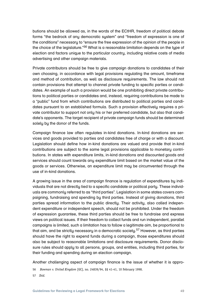butions should be allowed as, in the words of the ECtHR, freedom of political debate forms "the bedrock of any democratic system" and "freedom of expression is one of the conditions" necessary to "ensure the free expression of the opinion of the people in the choice of the legislature."<sup>56</sup> What is a reasonable limitation depends on the type of election and factors unique to the particular country, including relative costs of media advertising and other campaign materials.

Private contributors should be free to give campaign donations to candidates of their own choosing, in accordance with legal provisions regulating the amount, timeframe and method of contribution, as well as disclosure requirements. The law should not contain provisions that attempt to channel private funding to specific parties or candidates. An example of such a provision would be one prohibiting direct private contributions to political parties or candidates and, instead, requiring contributions be made to a "public" fund from which contributions are distributed to political parties and candidates pursuant to an established formula. Such a provision effectively requires a private contributor to support not only his or her preferred candidate, but also that candidate's opponents. The target recipient of private campaign funds should be determined solely by the donor of the funds.

Campaign finance law often regulates in-kind donations. In-kind donations are services and goods provided to parties and candidates free of charge or with a discount. Legislation should define how in-kind donations are valued and provide that in-kind contributions are subject to the same legal provisions applicable to monetary contributions. In states with expenditure limits, in-kind donations and discounted goods and services should count towards any expenditure limit based on the market value of the goods or services. Otherwise, an expenditure limit may be circumvented through the use of in-kind donations.

A growing issue in the area of campaign finance is regulation of expenditures by individuals that are not directly tied to a specific candidate or political party. These individuals are commonly referred to as "third parties". Legislation in some states covers campaigning, fundraising and spending by third parties. Instead of giving donations, third parties spread information to the public directly. Their activity, also called independent expenditure or independent speech, should not be prohibited. Under the freedom of expression guarantee, these third parties should be free to fundraise and express views on political issues. If their freedom to collect funds and run independent, parallel campaigns is limited, such a limitation has to follow a legitimate aim, be proportional to that aim, and be strictly necessary in a democratic society.<sup>57</sup> However, as third parties should have the right to expend funds during a campaign, those expenditures should also be subject to reasonable limitations and disclosure requirements. Donor disclosure rules should apply to all persons, groups, and entities, including third parties, for their funding and spending during an election campaign.

Another challenging aspect of campaign finance is the issue of whether it is appro-

56 *Bowman v. United Kingdom* [GC], no. 24839/94, §§ 41-41, 10 February 1998.

57 *Ibid.*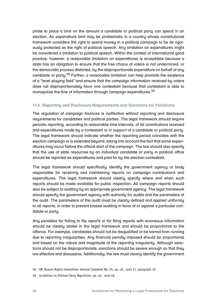priate to place a limit on the amount a candidate or political party can spend in an election. An expenditure limit may be problematic in a country whose constitutional framework considers the right to spend money in a political campaign to be as rigorously protected as the right of political speech. Any limitation on expenditures might be considered a limitation to political speech. Within the context of international good practice, however, a reasonable limitation on expenditures is acceptable because a state has an obligation to ensure that the free choice of voters is not undermined, or the democratic process distorted, by the disproportionate expenditure on behalf of any candidate or party.58 Further, a reasonable limitation can help promote the existence of a "level playing field" and ensure that the campaign information received by voters does not disproportionately favor one contestant because that contestant is able to monopolize the flow of information through campaign expenditures.<sup>59</sup>

#### **11.4. Reporting and Disclosure Requirements and Sanctions for Violations**

The regulation of campaign finances is ineffective without reporting and disclosure requirements for candidates and political parties. The legal framework should require periodic reporting, according to reasonable time intervals, of all contributions received and expenditures made by a contestant or in support of a candidate or political party. The legal framework should indicate whether the reporting period coincides with the election campaign or is extended beyond, taking into account the fact that some expenditures may occur before the official start of the campaign. The law should also specify that the use of state resources by an individual candidate or party in political office should be reported as expenditures and paid for by the election contestant.

The legal framework should specifically identify the government agency or body responsible for receiving and maintaining reports on campaign contributions and expenditures. The legal framework should clearly specify where and when such reports should be made available for public inspection. All campaign reports should also be subject to auditing by an appropriate government agency. The legal framework should specify the government agency with authority for audits and the parameters of the audit. The parameters of the audit must be clearly defined and applied uniformly to all reports, in order to prevent biased auditing in favor of or against a particular candidate or party.

Any penalties for failing to file reports or for filing reports with erroneous information should be clearly stated in the legal framework and should be proportional to the offence. For example, candidates should not be disqualified or be barred from running due to reporting irregularities. Any financial penalty imposed should be proportional and based on the nature and magnitude of the reporting irregularity. Although sanctions should not be disproportionate, sanctions should be severe enough so that they are effective and dissuasive. Additionally, the law must clearly identify the government

<sup>58</sup> UN Human Rights Committee, General Comment No. 25, *op. cit.*, note 21, paragraph 19.

<sup>59</sup> *Guidelines on Political Party Regulation, op. cit.,* note 46.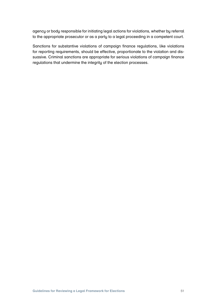agency or body responsible for initiating legal actions for violations, whether by referral to the appropriate prosecutor or as a party to a legal proceeding in a competent court.

Sanctions for substantive violations of campaign finance regulations, like violations for reporting requirements, should be effective, proportionate to the violation and dissuasive. Criminal sanctions are appropriate for serious violations of campaign finance regulations that undermine the integrity of the election processes.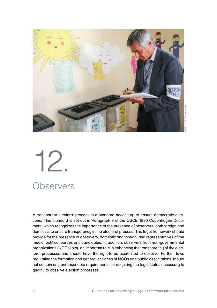

### 12. **Observers**

A transparent electoral process is a standard necessary to ensure democratic elections. This standard is set out in Paragraph 8 of the OSCE 1990 Copenhagen Document, which recognizes the importance of the presence of observers, both foreign and domestic, to ensure transparency in the electoral process. The legal framework should provide for the presence of observers, domestic and foreign, and representatives of the media, political parties and candidates. In addition, observers from non-governmental organizations (NGOs) play an important role in enhancing the transparency of the electoral processes and should have the right to be accredited to observe. Further, laws regulating the formation and general activities of NGOs and public associations should not contain any unreasonable requirements for acquiring the legal status necessary to qualify to observe election processes.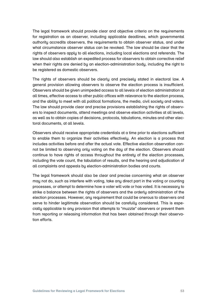The legal framework should provide clear and objective criteria on the requirements for registration as an observer, including applicable deadlines, which governmental authority accredits observers, the requirements to obtain observer status, and under what circumstance observer status can be revoked. The law should be clear that the rights of observers apply to all elections, including local elections and referenda. The law should also establish an expedited process for observers to obtain corrective relief when their rights are denied by an election-administration body, including the right to be registered as domestic observers.

The rights of observers should be clearly and precisely stated in electoral law. A general provision allowing observers to observe the election process is insufficient. Observers should be given unimpeded access to all levels of election administration at all times, effective access to other public offices with relevance to the election process, and the ability to meet with all political formations, the media, civil society and voters. The law should provide clear and precise provisions establishing the rights of observers to inspect documents, attend meetings and observe election activities at all levels, as well as to obtain copies of decisions, protocols, tabulations, minutes and other electoral documents, at all levels.

Observers should receive appropriate credentials at a time prior to elections sufficient to enable them to organize their activities effectively. An election is a process that includes activities before and after the actual vote. Effective election observation cannot be limited to observing only voting on the day of the election. Observers should continue to have rights of access throughout the entirety of the election processes, including the vote count, the tabulation of results, and the hearing and adjudication of all complaints and appeals by election-administration bodies and courts.

The legal framework should also be clear and precise concerning what an observer may not do, such as interfere with voting, take any direct part in the voting or counting processes, or attempt to determine how a voter will vote or has voted. It is necessary to strike a balance between the rights of observers and the orderly administration of the election processes. However, any requirement that could be onerous to observers and serve to hinder legitimate observation should be carefully considered. This is especially applicable to any provision that attempts to "muzzle" observers or prevent them from reporting or releasing information that has been obtained through their observation efforts.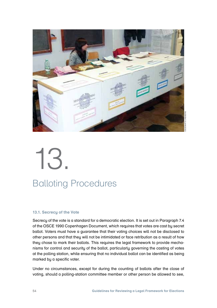

### 13. Balloting Procedures

#### **13.1. Secrecy of the Vote**

Secrecy of the vote is a standard for a democratic election. It is set out in Paragraph 7.4 of the OSCE 1990 Copenhagen Document, which requires that votes are cast by secret ballot. Voters must have a guarantee that their voting choices will not be disclosed to other persons and that they will not be intimidated or face retribution as a result of how they chose to mark their ballots. This requires the legal framework to provide mechanisms for control and security of the ballot, particularly governing the casting of votes at the polling station, while ensuring that no individual ballot can be identified as being marked by a specific voter.

Under no circumstances, except for during the counting of ballots after the close of voting, should a polling-station committee member or other person be allowed to see,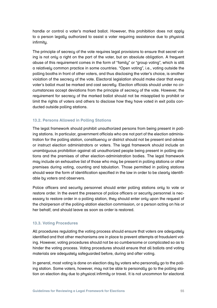handle or control a voter's marked ballot. However, this prohibition does not apply to a person legally authorized to assist a voter requiring assistance due to physical infirmity.

The principle of secrecy of the vote requires legal provisions to ensure that secret voting is not only a right on the part of the voter, but an absolute obligation. A frequent abuse of this requirement comes in the form of "family" or "group voting", which is still a relatively common practice in some countries. "Open voting", i.e., voting outside the polling booths in front of other voters, and thus disclosing the voter's choice, is another violation of the secrecy of the vote. Electoral legislation should make clear that every voter's ballot must be marked and cast secretly. Election officials should under no circumstances accept deviations from the principle of secrecy of the vote. However, the requirement for secrecy of the marked ballot should not be misapplied to prohibit or limit the rights of voters and others to disclose how they have voted in exit polls conducted outside polling stations.

#### **13.2. Persons Allowed in Polling Stations**

The legal framework should prohibit unauthorized persons from being present in polling stations. In particular, government officials who are not part of the election administration for the polling station, constituency or district should not be present and advise or instruct election administrators or voters. The legal framework should include an unambiguous prohibition against all unauthorized people being present in polling stations and the premises of other election-administration bodies. The legal framework may include an exhaustive list of those who may be present in polling stations or other premises during voting, counting and tabulation. Those permitted in polling stations should wear the form of identification specified in the law in order to be clearly identifiable by voters and observers.

Police officers and security personnel should enter polling stations only to vote or restore order. In the event the presence of police officers or security personnel is necessary to restore order in a polling station, they should enter only upon the request of the chairperson of the polling-station election commission, or a person acting on his or her behalf, and should leave as soon as order is restored.

#### **13.3. Voting Procedures**

All procedures regulating the voting process should ensure that voters are adequately identified and that other mechanisms are in place to prevent attempts at fraudulent voting. However, voting procedures should not be so cumbersome or complicated so as to hinder the voting process. Voting procedures should ensure that all ballots and voting materials are adequately safeguarded before, during and after voting.

In general, most voting is done on election day by voters who personally go to the polling station. Some voters, however, may not be able to personally go to the polling station on election day due to physical infirmity or travel. It is not uncommon for electoral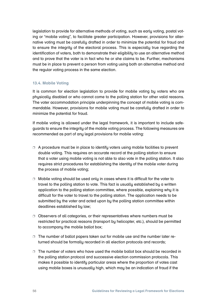legislation to provide for alternative methods of voting, such as early voting, postal voting or "mobile voting", to facilitate greater participation. However, provisions for alternative voting must be carefully drafted in order to minimize the potential for fraud and to ensure the integrity of the electoral process. This is especially true regarding the identification of voters, both to demonstrate their eligibility to use an alternative method and to prove that the voter is in fact who he or she claims to be. Further, mechanisms must be in place to prevent a person from voting using both an alternative method and the regular voting process in the same election.

#### **13.4. Mobile Voting**

It is common for election legislation to provide for mobile voting by voters who are physically disabled or who cannot come to the polling station for other valid reasons. The voter accommodation principle underpinning the concept of mobile voting is commendable. However, provisions for mobile voting must be carefully drafted in order to minimize the potential for fraud.

If mobile voting is allowed under the legal framework, it is important to include safeguards to ensure the integrity of the mobile voting process. The following measures are recommended as part of any legal provisions for mobile voting:

- $\Box$  A procedure must be in place to identify voters using mobile facilities to prevent double voting. This requires an accurate record at the polling station to ensure that a voter using mobile voting is not able to also vote in the polling station. It also requires strict procedures for establishing the identity of the mobile voter during the process of mobile voting;
- $\Box$  Mobile voting should be used only in cases where it is difficult for the voter to travel to the polling station to vote. This fact is usually established by a written application to the polling station committee, where possible, explaining why it is difficult for the voter to travel to the polling station. The application needs to be submitted by the voter and acted upon by the polling station committee within deadlines established by law;
- $\Box$  Observers of all categories, or their representatives where numbers must be restricted for practical reasons (transport by helicopter, etc.), should be permitted to accompany the mobile ballot box;
- $\Box$  The number of ballot papers taken out for mobile use and the number later returned should be formally recorded in all election protocols and records;
- $\Box$  The number of voters who have used the mobile ballot box should be recorded in the polling station protocol and successive election commission protocols. This makes it possible to identify particular areas where the proportion of votes cast using mobile boxes is unusually high, which may be an indication of fraud if the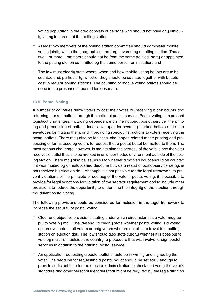voting population in the area consists of persons who should not have any difficulty voting in person at the polling station;

- $\Box$  At least two members of the polling station committee should administer mobile voting jointly within the geographical territory covered by a polling station. These two – or more – members should not be from the same political party or appointed to the polling station committee by the same person or institution; and
- $\Box$  The law must clearly state where, when and how mobile voting ballots are to be counted and, particularly, whether they should be counted together with ballots cast in regular polling stations. The counting of mobile voting ballots should be done in the presence of accredited observers.

#### **13.5. Postal Voting**

A number of countries allow voters to cast their votes by receiving blank ballots and returning marked ballots through the national postal service. Postal voting can present logistical challenges, including dependence on the national postal service, the printing and processing of ballots, inner envelopes for securing marked ballots and outer envelopes for mailing them, and in providing special instructions to voters receiving the postal ballots. There may also be logistical challenges related to the printing and processing of forms used by voters to request that a postal ballot be mailed to them. The most serious challenge, however, is maintaining the secrecy of the vote, since the voter receives a ballot that is to be marked in an uncontrolled environment outside of the polling station. There may also be issues as to whether a marked ballot should be counted if it was mailed by an established deadline but, as a result of postal-service delay, is not received by election day. Although it is not possible for the legal framework to prevent violations of the principle of secrecy of the vote in postal voting, it is possible to provide for legal sanctions for violation of the secrecy requirement and to include other provisions to reduce the opportunity to undermine the integrity of the election through fraudulent postal voting.

The following provisions could be considered for inclusion in the legal framework to increase the security of postal voting:

- $\Box$  Clear and objective provisions stating under which circumstances a voter may apply to vote by mail. The law should clearly state whether postal voting is a voting option available to all voters or only voters who are not able to travel to a polling station on election day. The law should also state clearly whether it is possible to vote by mail from outside the country, a procedure that will involve foreign postal services in addition to the national postal service;
- $\Box$  An application requesting a postal ballot should be in writing and signed by the voter. The deadline for requesting a postal ballot should be set early enough to provide sufficient time for the election administration to check and verify the voter's signature and other personal identifiers that might be required by the legislation on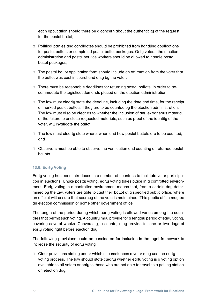each application should there be a concern about the authenticity of the request for the postal ballot;

- $\Box$  Political parties and candidates should be prohibited from handling applications for postal ballots or completed postal ballot packages. Only voters, the election administration and postal service workers should be allowed to handle postal ballot packages;
- $\Box$  The postal ballot application form should include an affirmation from the voter that the ballot was cast in secret and only by the voter;
- $\Box$  There must be reasonable deadlines for returning postal ballots, in order to accommodate the logistical demands placed on the election administration;
- $\Box$  The law must clearly state the deadline, including the date and time, for the receipt of marked postal ballots if they are to be counted by the election administration. The law must also be clear as to whether the inclusion of any extraneous material or the failure to enclose requested materials, such as proof of the identity of the voter, will invalidate the ballot;
- $\Box$  The law must clearly state where, when and how postal ballots are to be counted; and
- $\Box$  Observers must be able to observe the verification and counting of returned postal ballots.

#### **13.6. Early Voting**

Early voting has been introduced in a number of countries to facilitate voter participation in elections. Unlike postal voting, early voting takes place in a controlled environment. Early voting in a controlled environment means that, from a certain day determined by the law, voters are able to cast their ballot at a specified public office, where an official will assure that secrecy of the vote is maintained. This public office may be an election commission or some other government office.

The length of the period during which early voting is allowed varies among the countries that permit such voting. A country may provide for a lengthy period of early voting, covering several weeks. Conversely, a country may provide for one or two days of early voting right before election day.

The following provisions could be considered for inclusion in the legal framework to increase the security of early voting:

 $\Box$  Clear provisions stating under which circumstances a voter may use the early voting process. The law should state clearly whether early voting is a voting option available to all voters or only to those who are not able to travel to a polling station on election day;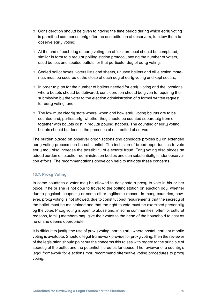- $\Box$  Consideration should be given to having the time period during which early voting is permitted commence only after the accreditation of observers, to allow them to observe early voting;
- $\Box$  At the end of each day of early voting, an official protocol should be completed, similar in form to a regular polling station protocol, stating the number of voters, used ballots and spoiled ballots for that particular day of early voting;
- $\Box$  Sealed ballot boxes, voters lists and sheets, unused ballots and all election materials must be secured at the close of each day of early voting and kept secure;
- $\Box$  In order to plan for the number of ballots needed for early voting and the locations where ballots should be delivered, consideration should be given to requiring the submission by the voter to the election administration of a formal written request for early voting; and
- $\Box$  The law must clearly state where, when and how early voting ballots are to be counted and, particularly, whether they should be counted separately from or together with ballots cast in regular polling stations. The counting of early voting ballots should be done in the presence of accredited observers.

The burden placed on observer organizations and candidate proxies by an extended early voting process can be substantial. The inclusion of broad opportunities to vote early may also increase the possibility of electoral fraud. Early voting also places an added burden on election-administration bodies and can substantially hinder observation efforts. The recommendations above can help to mitigate these concerns.

#### **13.7. Proxy Voting**

In some countries a voter may be allowed to designate a proxy to vote in his or her place, if he or she is not able to travel to the polling station on election day, whether due to physical incapacity or some other legitimate reason. In many countries, however, proxy voting is not allowed, due to constitutional requirements that the secrecy of the ballot must be maintained and that the right to vote must be exercised personally by the voter. Proxy voting is open to abuse and, in some communities, often for cultural reasons, family members may give their votes to the head of the household to cast as he or she deems appropriate.

It is difficult to justify the use of proxy voting, particularly where postal, early or mobile voting is available. Should a legal framework provide for proxy voting, then the reviewer of the legislation should point out the concerns this raises with regard to the principle of secrecy of the ballot and the potential it creates for abuse. The reviewer of a country's legal framework for elections may recommend alternative voting procedures to proxy voting.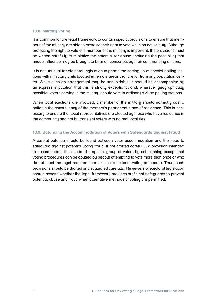#### **13.8. Military Voting**

It is common for the legal framework to contain special provisions to ensure that members of the military are able to exercise their right to vote while on active duty. Although protecting the right to vote of a member of the military is important, the provisions must be written carefully to minimize the potential for abuse, including the possibility that undue influence may be brought to bear on conscripts by their commanding officers.

It is not unusual for electoral legislation to permit the setting up of special polling stations within military units located in remote areas that are far from any population center. While such an arrangement may be unavoidable, it should be accompanied by an express stipulation that this is strictly exceptional and, wherever geographically possible, voters serving in the military should vote in ordinary civilian polling stations.

When local elections are involved, a member of the military should normally cast a ballot in the constituency of the member's permanent place of residence. This is necessary to ensure that local representatives are elected by those who have residence in the community and not by transient voters with no real local ties.

#### **13.9. Balancing the Accommodation of Voters with Safeguards against Fraud**

A careful balance should be found between voter accommodation and the need to safeguard against potential voting fraud. If not drafted carefully, a provision intended to accommodate the needs of a special group of voters by establishing exceptional voting procedures can be abused by people attempting to vote more than once or who do not meet the legal requirements for the exceptional voting procedure. Thus, such provisions should be drafted and evaluated carefully. Reviewers of electoral legislation should assess whether the legal framework provides sufficient safeguards to prevent potential abuse and fraud when alternative methods of voting are permitted.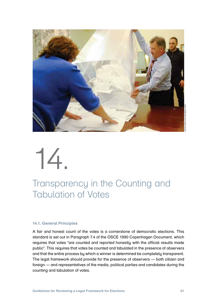

# 14.

#### Transparency in the Counting and Tabulation of Votes

#### **14.1. General Principles**

A fair and honest count of the votes is a cornerstone of democratic elections. This standard is set out in Paragraph 7.4 of the OSCE 1990 Copenhagen Document, which requires that votes "are counted and reported honestly with the official results made public". This requires that votes be counted and tabulated in the presence of observers and that the entire process by which a winner is determined be completely transparent. The legal framework should provide for the presence of observers — both citizen and foreign — and representatives of the media, political parties and candidates during the counting and tabulation of votes.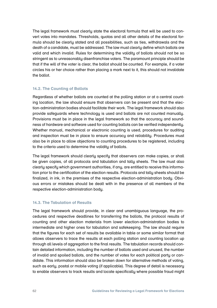The legal framework must clearly state the electoral formula that will be used to convert votes into mandates. Thresholds, quotas and all other details of the electoral formula should be clearly stated and all possibilities, such as ties, withdrawals and the death of a candidate, must be addressed. The law must clearly define which ballots are valid and which invalid. Rules for determining the validity of ballots should not be so stringent as to unreasonably disenfranchise voters. The paramount principle should be that if the will of the voter is clear, the ballot should be counted. For example, if a voter circles his or her choice rather than placing a mark next to it, this should not invalidate the ballot.

#### **14.2. The Counting of Ballots**

Regardless of whether ballots are counted at the polling station or at a central counting location, the law should ensure that observers can be present and that the election-administration bodies should facilitate their work. The legal framework should also provide safeguards where technology is used and ballots are not counted manually. Provisions must be in place in the legal framework so that the accuracy and soundness of hardware and software used for counting ballots can be verified independently. Whether manual, mechanical or electronic counting is used, procedures for auditing and inspection must be in place to ensure accuracy and reliability. Procedures must also be in place to allow objections to counting procedures to be registered, including to the criteria used to determine the validity of ballots.

The legal framework should clearly specify that observers can make copies, or shall be given copies, of all protocols and tabulation and tally sheets. The law must also clearly specify which government authorities, if any, are entitled to receive this information prior to the certification of the election results. Protocols and tally sheets should be finalized, in ink, in the premises of the respective election-administration body. Obvious errors or mistakes should be dealt with in the presence of all members of the respective election-administration body.

#### **14.3. The Tabulation of Results**

The legal framework should provide, in clear and unambiguous language, the procedures and respective deadlines for transferring the ballots, the protocol results of counting and other election materials from lower election-administration bodies to intermediate and higher ones for tabulation and safekeeping. The law should require that the figures for each set of results be available in table or some similar format that allows observers to trace the results at each polling station and counting location up through all levels of aggregation to the final results. The tabulation records should contain detailed information, including the number of ballots used and unused, the number of invalid and spoiled ballots, and the number of votes for each political party or candidate. This information should also be broken down for alternative methods of voting, such as early, postal or mobile voting (if applicable). This degree of detail is necessary to enable observers to track results and locate specifically where possible fraud might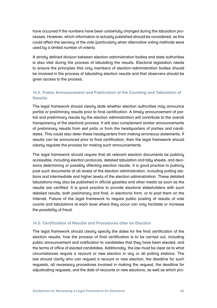have occurred if the numbers have been unlawfully changed during the tabulation processes. However, which information is actually published should be considered, as this could affect the secrecy of the vote (particularly when alternative voting methods were used by a limited number of voters).

A strictly defined division between election-administration bodies and state authorities is also vital during the process of tabulating the results. Electoral legislation needs to ensure the principles that only members of election-administration bodies should be involved in the process of tabulating election results and that observers should be given access to the process.

#### **14.4. Public Announcement and Publication of the Counting and Tabulation of Results**

The legal framework should clearly state whether election authorities may announce partial or preliminary results prior to final certification. A timely announcement of partial and preliminary results by the election administration will contribute to the overall transparency of the electoral process. It will also complement similar announcements of preliminary results from exit polls or from the headquarters of parties and candidates. This could also deter these headquarters from making erroneous statements. If results can be announced prior to final certification, then the legal framework should clearly regulate the process for making such announcements.

The legal framework should require that all relevant election documents be publicly accessible, including election protocols, detailed tabulation and tally sheets, and decisions determining or possibly affecting election results. It is good practice to publicly post such documents at all levels of the election administration, including polling stations and intermediate and higher levels of the election administration. These detailed tabulations may also be published in official gazettes and other media as soon as the results are certified. It is good practice to provide electoral stakeholders with such detailed results, both preliminary and final, in electronic form, or to post them on the Internet. Failure of the legal framework to require public posting of results of vote counts and tabulations at each level where they occur can only facilitate or increase the possibility of fraud.

#### **14.5. Certification of Results and Procedures after an Election**

The legal framework should clearly specify the dates for the final certification of the election results, how the process of final certification is to be carried out, including public announcement and notification to candidates that they have been elected, and the terms of office of elected candidates. Additionally, the law must be clear as to what circumstances require a recount or new election in any or all polling stations. The law should clarify who can request a recount or new election, the deadline for such requests, all necessary procedures involved in making the request, the deadline for adjudicating requests, and the date of recounts or new elections, as well as which pro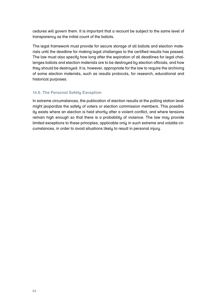cedures will govern them. It is important that a recount be subject to the same level of transparency as the initial count of the ballots.

The legal framework must provide for secure storage of all ballots and election materials until the deadline for making legal challenges to the certified results has passed. The law must also specify how long after the expiration of all deadlines for legal challenges ballots and election materials are to be destroued by election officials, and how they should be destroyed. It is, however, appropriate for the law to require the archiving of some election materials, such as results protocols, for research, educational and historical purposes.

#### **14.6. The Personal Safety Exception**

In extreme circumstances, the publication of election results at the polling station level might jeopardize the safety of voters or election commission members. This possibility exists where an election is held shortly after a violent conflict, and where tensions remain high enough so that there is a probability of violence. The law may provide limited exceptions to these principles, applicable only in such extreme and volatile circumstances, in order to avoid situations likely to result in personal injury.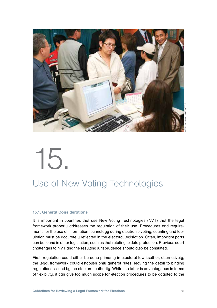

### 15. Use of New Voting Technologies

#### **15.1. General Considerations**

It is important in countries that use New Voting Technologies (NVT) that the legal framework properly addresses the regulation of their use. Procedures and requirements for the use of information technology during electronic voting, counting and tabulation must be accurately reflected in the electoral legislation. Often, important parts can be found in other legislation, such as that relating to data protection. Previous court challenges to NVT and the resulting jurisprudence should also be consulted.

First, regulation could either be done primarily in electoral law itself or, alternatively, the legal framework could establish only general rules, leaving the detail to binding regulations issued by the electoral authority. While the latter is advantageous in terms of flexibility, it can give too much scope for election procedures to be adapted to the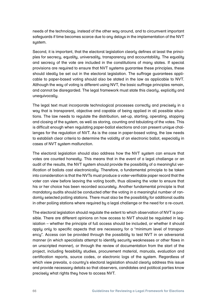needs of the technology, instead of the other way around, and to circumvent important safeguards if time becomes scarce due to any delays in the implementation of the NVT system.

Second, it is important, that the electoral legislation clearly defines at least the principles for secrecy, equality, universality, transparency and accountability. The equality and secrecy of the vote are included in the constitutions of many states. If special provisions are required to ensure that NVT systems guarantee these principles, these should ideally be set out in the electoral legislation. The suffrage guarantees applicable to paper-based voting should also be stated in the law as applicable to NVT. Although the way of voting is different using NVT, the basic suffrage principles remain, and cannot be disregarded. The legal framework must state this clearly, explicitly and unequivocally.

The legal text must incorporate technological processes correctly and precisely in a way that is transparent, objective and capable of being applied in all possible situations. The law needs to regulate the distribution, set-up, starting, operating, stopping and closing of the system, as well as storing, counting and tabulating of the votes. This is difficult enough when regulating paper-ballot elections and can present unique challenges for the regulation of NVT. As is the case in paper-based voting, the law needs to establish clear criteria to determine the validitu of an electronic ballot, especially in cases of NVT system malfunction.

The electoral legislation should also address how the NVT system can ensure that votes are counted honestly. This means that in the event of a legal challenge or an audit of the results, the NVT system should provide the possibility of a meaningful verification of ballots cast electronically. Therefore, a fundamental principle to be taken into consideration is that the NVTs must produce a voter-verifiable paper record that the voter can view before leaving the voting booth, thus allowing the voter to ensure that his or her choice has been recorded accurately. Another fundamental principle is that mandatory audits should be conducted after the voting in a meaningful number of randomly selected polling stations. There must also be the possibility for additional audits in other polling stations where required by a legal challenge or the need for a re-count.

The electoral legislation should regulate the extent to which observation of NVT is possible. There are different opinions on how access to NVT should be regulated in legislation – whether the principle of full access should be included, or whether it should apply only to specific aspects that are necessary for a "minimum level of transparency". Access can be provided through the possibility to test NVT in an adversarial manner (in which specialists attempt to identify security weaknesses or other flaws in an unscripted manner), or through the review of documentation from the start of the project, including feasibility studies, procurement material, manuals, evaluation and certification reports, source codes, or electronic logs of the system. Regardless of which view prevails, a country's electoral legislation should clearly address this issue and provide necessary details so that observers, candidates and political parties know precisely what rights they have to access NVT.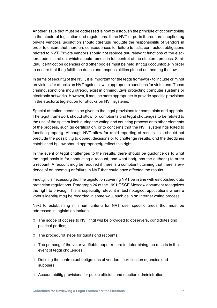Another issue that must be addressed is how to establish the principle of accountability in the electoral legislation and regulations. If the NVT or parts thereof are supplied by private vendors, legislation should carefully regulate the responsibility of vendors in order to ensure that there are consequences for failure to fulfill contractual obligations related to NVT. Private vendors should not replace any relevant functions of the electoral administration, which should remain in full control of the electoral process. Similarly, certification agencies and other bodies must be held strictly accountable in order to ensure that they fulfill the duties and responsibilities placed on them by the law.

In terms of security of the NVT, it is important for the legal framework to include criminal provisions for attacks on NVT systems, with appropriate sanctions for violations. These criminal sanctions may already exist in criminal laws protecting computer systems or electronic networks. However, it may be more appropriate to provide specific provisions in the electoral legislation for attacks on NVT systems.

Special attention needs to be given to the legal provisions for complaints and appeals. The legal framework should allow for complaints and legal challenges to be related to the use of the system itself during the voting and counting process or to other elements of the process, such as certification, or to concerns that the NVT system has failed to function properly. Although NVT allow for rapid reporting of results, this should not preclude the possibility to appeal decisions or to challenge results, and the deadlines established by law should appropriately reflect this right.

In the event of legal challenges to the results, there should be guidance as to what the legal basis is for conducting a recount, and what body has the authority to order a recount. A recount may be required if there is a complaint claiming that there is evidence of an anomaly or failure in NVT that could have affected the results.

Finally, it is necessary that the legislation covering NVT be in line with established data protection regulations. Paragraph 24 of the 1991 OSCE Moscow document recognizes the right to privacy. This is especially relevant in technological applications where a voter's identity may be recorded in some way, such as in an Internet voting process.

Next to establishing minimum criteria for NVT use, specific areas that must be addressed in legislation include:

- $\Box$  The scope of access to NVT that will be provided to observers, candidates and political parties;
- $\Box$  The procedural steps for audits and recounts;
- $\Box$  The primacy of the voter-verifiable paper record in determining the results in the event of legal challenges;
- $\Box$  Defining the contractual obligations of vendors, certification agencies and suppliers;
- $\Box$  Accountability provisions for public officials and election administration;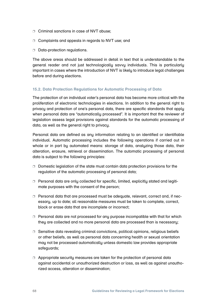- $\Box$  Criminal sanctions in case of NVT abuse:
- $\Box$  Complaints and appeals in regards to NVT use; and
- $\Box$  Data-protection regulations.

The above areas should be addressed in detail in text that is understandable to the general reader and not just technologically savvy individuals. This is particularly important in cases where the introduction of NVT is likely to introduce legal challenges before and during elections.

#### **15.2. Data Protection Regulations for Automatic Processing of Data**

The protection of an individual voter's personal data has become more critical with the proliferation of electronic technologies in elections. In addition to the general right to privacy and protection of one's personal data, there are specific standards that apply when personal data are "automatically processed". It is important that the reviewer of legislation assess legal provisions against standards for the automatic processing of data, as well as the general right to privacy.

Personal data are defined as any information relating to an identified or identifiable individual. Automatic processing includes the following operations if carried out in whole or in part by automated means: storage of data, analyzing those data, their alteration, erasure, retrieval or dissemination. The automatic processing of personal data is subject to the following principles:

- $\Box$  Domestic legislation of the state must contain data protection provisions for the regulation of the automatic processing of personal data;
- $\Box$  Personal data are only collected for specific, limited, explicitly stated and legitimate purposes with the consent of the person;
- $\Box$  Personal data that are processed must be adequate, relevant, correct and, if necessary, up to date; all reasonable measures must be taken to complete, correct, block or erase data that are incomplete or incorrect;
- $\Box$  Personal data are not processed for any purpose incompatible with that for which they are collected and no more personal data are processed than is necessary;
- $\Box$  Sensitive data revealing criminal convictions, political opinions, religious beliefs or other beliefs, as well as personal data concerning health or sexual orientation may not be processed automatically unless domestic law provides appropriate safeguards;
- $\Box$  Appropriate security measures are taken for the protection of personal data against accidental or unauthorized destruction or loss, as well as against unauthorized access, alteration or dissemination;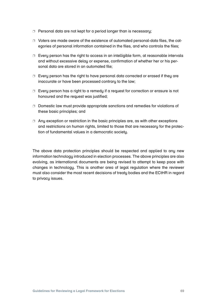- $\Box$  Personal data are not kept for a period longer than is necessary;
- $\Box$  Voters are made aware of the existence of automated personal-data files, the categories of personal information contained in the files, and who controls the files;
- $\Box$  Every person has the right to access in an intelligible form, at reasonable intervals and without excessive delay or expense, confirmation of whether her or his personal data are stored in an automated file;
- $\Box$  Every person has the right to have personal data corrected or erased if they are inaccurate or have been processed contrary to the law;
- $\Box$  Every person has a right to a remedy if a request for correction or erasure is not honoured and the request was justified;
- $\Box$  Domestic law must provide appropriate sanctions and remedies for violations of these basic principles; and
- $\Box$  Any exception or restriction in the basic principles are, as with other exceptions and restrictions on human rights, limited to those that are necessary for the protection of fundamental values in a democratic society.

The above data protection principles should be respected and applied to any new information technology introduced in election processes. The above principles are also evolving, as international documents are being revised to attempt to keep pace with changes in technology. This is another area of legal regulation where the reviewer must also consider the most recent decisions of treaty bodies and the ECtHR in regard to privacy issues.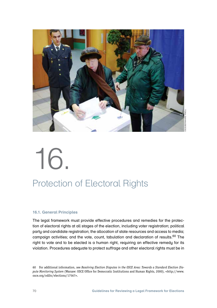

# 16. Protection of Electoral Rights

#### **16.1. General Principles**

The legal framework must provide effective procedures and remedies for the protection of electoral rights at all stages of the election, including voter registration; political party and candidate registration; the allocation of state resources and access to media; campaign activities; and the vote, count, tabulation and declaration of results.<sup>60</sup> The right to vote and to be elected is a human right, requiring an effective remedy for its violation. Procedures adequate to protect suffrage and other electoral rights must be in

<sup>60</sup> For additional information, see *Resolving Election Disputes in the OSCE Area: Towards a Standard Election Dispute Monitoring System* (Warsaw: OSCE Office for Democratic Institutions and Human Rights, 2000), [<http://www.](http://www.osce.org/odihr/elections/17567) [osce.org/odihr/elections/17567>](http://www.osce.org/odihr/elections/17567).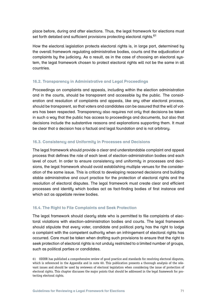place before, during and after elections. Thus, the legal framework for elections must set forth detailed and sufficient provisions protecting electoral rights.<sup>61</sup>

How the electoral legislation protects electoral rights is, in large part, determined by the overall framework regulating administrative bodies, courts and the adjudication of complaints by the judiciary. As a result, as in the case of choosing an electoral system, the legal framework chosen to protect electoral rights will not be the same in all countries.

#### **16.2. Transparency in Administrative and Legal Proceedings**

Proceedings on complaints and appeals, including within the election administration and in the courts, should be transparent and accessible by the public. The consideration and resolution of complaints and appeals, like any other electoral process, should be transparent, so that voters and candidates can be assured that the will of voters has been respected. Transparency also requires not only that decisions be taken in such a way that the public has access to proceedings and documents, but also that decisions include the substantive reasons and explanations supporting them. It must be clear that a decision has a factual and legal foundation and is not arbitrary.

#### **16.3. Consistency and Uniformity in Processes and Decisions**

The legal framework should provide a clear and understandable complaint and appeal process that defines the role of each level of election-administration bodies and each level of court. In order to ensure consistency and uniformity in processes and decisions, the legal framework should avoid establishing multiple venues for the consideration of the same issue. This is critical to developing reasoned decisions and building stable administrative and court practice for the protection of electoral rights and the resolution of electoral disputes. The legal framework must create clear and efficient processes and identify which bodies act as fact-finding bodies of first instance and which act as appellate review bodies.

#### **16.4. The Right to File Complaints and Seek Protection**

The legal framework should clearly state who is permitted to file complaints of electoral violations with election-administration bodies and courts. The legal framework should stipulate that every voter, candidate and political party has the right to lodge a complaint with the competent authority when an infringement of electoral rights has occurred. Care must be taken when drafting such provisions to ensure that the right to seek protection of electoral rights is not unduly restricted to a limited number of groups, such as political parties or candidates.

61 ODIHR has published a comprehensive review of good practice and standards for resolving electoral disputes, which is referenced in the Appendix and in note 60. This publication presents a thorough analysis of the relevant issues and should be used by reviewers of electoral legislation when considering the issue of protection of electoral rights. This chapter discusses the major points that should be addressed in the legal framework for protecting electoral rights.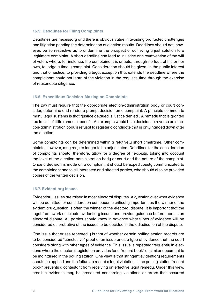#### **16.5. Deadlines for Filing Complaints**

Deadlines are necessary and there is obvious value in avoiding protracted challenges and litigation pending the determination of election results. Deadlines should not, however, be so restrictive as to undermine the prospect of achieving a just solution to a legitimate complaint. A short deadline can lead to injustice or circumvention of the will of voters where, for instance, the complainant is unable, through no fault of his or her own, to lodge a timely complaint. Consideration should be given, in the public interest and that of justice, to providing a legal exception that extends the deadline where the complainant could not learn of the violation in the requisite time through the exercise of reasonable diligence.

#### **16.6. Expeditious Decision-Making on Complaints**

The law must require that the appropriate election-administration body or court consider, determine and render a prompt decision on a complaint. A principle common to many legal systems is that "justice delayed is justice denied". A remedy that is granted too late is of little remedial benefit. An example would be a decision to reverse an election-administration body's refusal to register a candidate that is only handed down after the election.

Some complaints can be determined within a relatively short timeframe. Other complaints, however, may require longer to be adjudicated. Deadlines for the consideration of complaints should, therefore, allow for a degree of flexibility, taking into account the level of the election-administration body or court and the nature of the complaint. Once a decision is made on a complaint, it should be expeditiously communicated to the complainant and to all interested and affected parties, who should also be provided copies of the written decision.

#### **16.7. Evidentiary Issues**

Evidentiary issues are raised in most electoral disputes. A question over what evidence will be admitted for consideration can become critically important, as the winner of the evidentiary question is often the winner of the electoral dispute. It is important that the legal framework anticipate evidentiary issues and provide guidance before there is an electoral dispute. All parties should know in advance what types of evidence will be considered as probative of the issues to be decided in the adjudication of the dispute.

One issue that arises repeatedly is that of whether certain polling station records are to be considered "conclusive" proof of an issue or as a type of evidence that the court considers along with other types of evidence. This issue is repeated frequently in elections where the electoral legislation provides for a "record book" or similar document to be maintained in the polling station. One view is that stringent evidentiary requirements should be applied and the failure to record a legal violation in the polling station "record book" prevents a contestant from receiving an effective legal remedy. Under this view, credible evidence may be presented concerning violations or errors that occurred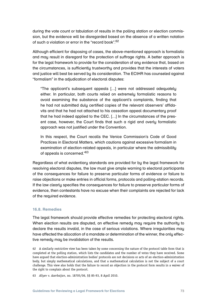during the vote count or tabulation of results in the polling station or election commission, but the evidence will be disregarded based on the absence of a written notation of such a violation or error in the "record book".<sup>62</sup>

Although efficient for disposing of cases, the above-mentioned approach is formalistic and may result in disregard for the protection of suffrage rights. A better approach is for the legal framework to provide for the consideration of any evidence that, based on the circumstances, is sufficiently trustworthy and provides that the interests of voters and justice will best be served by its consideration. The ECtHR has counseled against "formalism" in the adjudication of electoral disputes:

"The applicant's subsequent appeals […] were not addressed adequately either. In particular, both courts relied on extremely formalistic reasons to avoid examining the substance of the applicant's complaints, finding that he had not submitted duly certified copies of the relevant observers' affidavits and that he had not attached to his cassation appeal documentary proof that he had indeed applied to the CEC. […] In the circumstances of the present case, however, the Court finds that such a rigid and overly formalistic approach was not justified under the Convention.

In this respect, the Court recalls the Venice Commission's Code of Good Practices in Electoral Matters, which cautions against excessive formalism in examination of election-related appeals, in particular where the admissibility of appeals is concerned."63

Regardless of what evidentiary standards are provided for by the legal framework for resolving electoral disputes, the law must give ample warning to electoral participants of the consequences for failure to preserve particular forms of evidence or failure to raise objections or make entries in official forms, protocols and polling-station records. If the law clearly specifies the consequences for failure to preserve particular forms of evidence, then contestants have no excuse when their complaints are rejected for lack of the required evidence.

#### **16.8. Remedies**

The legal framework should provide effective remedies for protecting electoral rights. When election results are disputed, an effective remedy may require the authority to declare the results invalid, in the case of serious violations. Where irregularities may have affected the allocation of a mandate or determination of the winner, the only effective remedy may be invalidation of the results.

62 A similarly restrictive view has been taken by some concerning the nature of the protocol table form that is completed at the polling station, which lists the candidates and the number of votes they have received. Some have argued that election-administration bodies' protocols are not decisions or acts of an election-administration body, but simply mathematical calculations, and that a mathematical calculation is not the subject of a court challenge. This view also holds that the failure to record an objection in the protocol form results in a waiver of the right to complain about the protocol.

63 *Aliyev v. Azerbaijan*, no. 18705/06, §§ 85-93, 8 April 2010.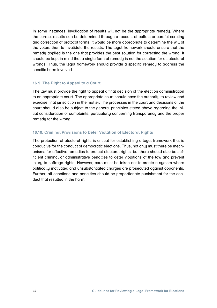In some instances, invalidation of results will not be the appropriate remedy. Where the correct results can be determined through a recount of ballots or careful scrutiny and correction of protocol forms, it would be more appropriate to determine the will of the voters than to invalidate the results. The legal framework should ensure that the remedy applied is the one that provides the best solution for correcting the wrong. It should be kept in mind that a single form of remedy is not the solution for all electoral wrongs. Thus, the legal framework should provide a specific remedy to address the specific harm involved.

#### **16.9. The Right to Appeal to a Court**

The law must provide the right to appeal a final decision of the election administration to an appropriate court. The appropriate court should have the authority to review and exercise final jurisdiction in the matter. The processes in the court and decisions of the court should also be subject to the general principles stated above regarding the initial consideration of complaints, particularly concerning transparency and the proper remedy for the wrong.

#### **16.10. Criminal Provisions to Deter Violation of Electoral Rights**

The protection of electoral rights is critical for establishing a legal framework that is conducive for the conduct of democratic elections. Thus, not only must there be mechanisms for effective remedies to protect electoral rights, but there should also be sufficient criminal or administrative penalties to deter violations of the law and prevent injury to suffrage rights. However, care must be taken not to create a system where politically motivated and unsubstantiated charges are prosecuted against opponents. Further, all sanctions and penalties should be proportionate punishment for the conduct that resulted in the harm.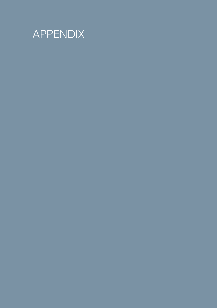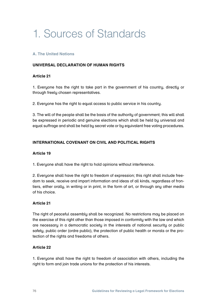# 1. Sources of Standards

# **A. The United Nations**

## **UNIVERSAL DECLARATION OF HUMAN RIGHTS**

#### **Article 21**

1. Everyone has the right to take part in the government of his country, directly or through freely chosen representatives.

2. Everyone has the right to equal access to public service in his country.

3. The will of the people shall be the basis of the authority of government; this will shall be expressed in periodic and genuine elections which shall be held by universal and equal suffrage and shall be held by secret vote or by equivalent free voting procedures.

# **INTERNATIONAL COVENANT ON CIVIL AND POLITICAL RIGHTS**

## **Article 19**

1. Everyone shall have the right to hold opinions without interference.

2. Everyone shall have the right to freedom of expression; this right shall include freedom to seek, receive and impart information and ideas of all kinds, regardless of frontiers, either orally, in writing or in print, in the form of art, or through any other media of his choice.

# **Article 21**

The right of peaceful assembly shall be recognized. No restrictions may be placed on the exercise of this right other than those imposed in conformity with the law and which are necessary in a democratic society in the interests of national security or public safety, public order (ordre public), the protection of public health or morals or the protection of the rights and freedoms of others.

# **Article 22**

1. Everyone shall have the right to freedom of association with others, including the right to form and join trade unions for the protection of his interests.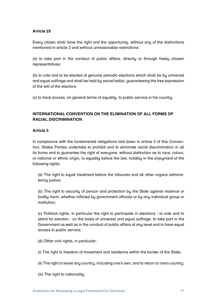#### **Article 25**

Every citizen shall have the right and the opportunity, without any of the distinctions mentioned in article 2 and without unreasonable restrictions:

(a) to take part in the conduct of public affairs, directly or through freely chosen representatives;

(b) to vote and to be elected at genuine periodic elections which shall be by universal and equal suffrage and shall be held by secret ballot, guaranteeing the free expression of the will of the electors;

(c) to have access, on general terms of equality, to public service in his country.

# **INTERNATIONAL CONVENTION ON THE ELIMINATION OF ALL FORMS OF RACIAL DISCRIMINATION**

#### **Article 5**

In compliance with the fundamental obligations laid down in article 2 of this Convention, States Parties undertake to prohibit and to eliminate racial discrimination in all its forms and to guarantee the right of everyone, without distinction as to race, colour, or national or ethnic origin, to equality before the law, notably in the enjoyment of the following rights:

(a) The right to equal treatment before the tribunals and all other organs administering justice;

(b) The right to security of person and protection by the State against violence or bodily harm, whether inflicted by government officials or by any individual group or institution;

(c) Political rights, in particular the right to participate in elections - to vote and to stand for election - on the basis of universal and equal suffrage, to take part in the Government as well as in the conduct of public affairs at any level and to have equal access to public service;

(d) Other civil rights, in particular:

- (i) The right to freedom of movement and residence within the border of the State;
- (ii) The right to leave any country, including one's own, and to return to one's country;
- (iii) The right to nationality;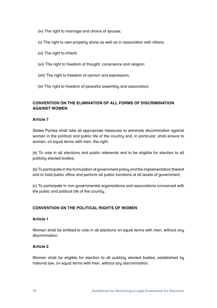- (iv) The right to marriage and choice of spouse;
- (v) The right to own property alone as well as in association with others;
- (vi) The right to inherit;
- (vii) The right to freedom of thought, conscience and religion;
- (viii) The right to freedom of opinion and expression;
- (ix) The right to freedom of peaceful assembly and association;

# **CONVENTION ON THE ELIMINATION OF ALL FORMS OF DISCRIMINATION AGAINST WOMEN**

## **Article 7**

States Parties shall take all appropriate measures to eliminate discrimination against women in the political and public life of the country and, in particular, shall ensure to women, on equal terms with men, the right:

(a) To vote in all elections and public referenda and to be eligible for election to all publicly elected bodies;

(b) To participate in the formulation of government policy and the implementation thereof and to hold public office and perform all public functions at all levels of government;

(c) To participate in non-governmental organizations and associations concerned with the public and political life of the country.

# **CONVENTION ON THE POLITICAL RIGHTS OF WOMEN**

#### **Article 1**

Women shall be entitled to vote in all elections on equal terms with men, without any discrimination.

#### **Article 2**

Women shall be eligible for election to all publicly elected bodies, established by national law, on equal terms with men, without any discrimination.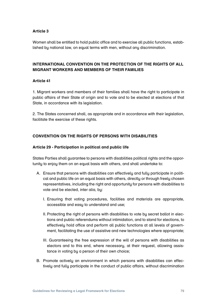#### **Article 3**

Women shall be entitled to hold public office and to exercise all public functions, established by national law, on equal terms with men, without any discrimination.

# **INTERNATIONAL CONVENTION ON THE PROTECTION OF THE RIGHTS OF ALL MIGRANT WORKERS AND MEMBERS OF THEIR FAMILIES**

#### **Article 41**

1. Migrant workers and members of their families shall have the right to participate in public affairs of their State of origin and to vote and to be elected at elections of that State, in accordance with its legislation.

2. The States concerned shall, as appropriate and in accordance with their legislation, facilitate the exercise of these rights.

# **Convention on the Rights of Persons with Disabilities**

#### **Article 29 - Participation in political and public life**

States Parties shall guarantee to persons with disabilities political rights and the opportunity to enjoy them on an equal basis with others, and shall undertake to:

- A. Ensure that persons with disabilities can effectively and fully participate in political and public life on an equal basis with others, directly or through freely chosen representatives, including the right and opportunity for persons with disabilities to vote and be elected, inter alia, by:
	- I. Ensuring that voting procedures, facilities and materials are appropriate, accessible and easy to understand and use;
	- II. Protecting the right of persons with disabilities to vote by secret ballot in elections and public referendums without intimidation, and to stand for elections, to effectively hold office and perform all public functions at all levels of government, facilitating the use of assistive and new technologies where appropriate;
	- III. Guaranteeing the free expression of the will of persons with disabilities as electors and to this end, where necessary, at their request, allowing assistance in voting by a person of their own choice;
- B. Promote actively an environment in which persons with disabilities can effectively and fully participate in the conduct of public affairs, without discrimination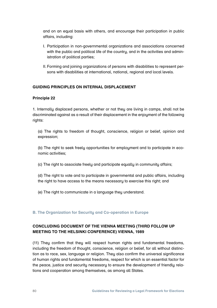and on an equal basis with others, and encourage their participation in public affairs, including:

- I. Participation in non-governmental organizations and associations concerned with the public and political life of the country, and in the activities and administration of political parties;
- II. Forming and joining organizations of persons with disabilities to represent persons with disabilities at international, national, regional and local levels.

#### **GUIDING PRINCIPLES ON INTERNAL DISPLACEMENT**

#### **Principle 22**

1. Internally displaced persons, whether or not they are living in camps, shall not be discriminated against as a result of their displacement in the enjoyment of the following rights:

(a) The rights to freedom of thought, conscience, religion or belief, opinion and expression;

(b) The right to seek freely opportunities for employment and to participate in economic activities;

(c) The right to associate freely and participate equally in community affairs;

(d) The right to vote and to participate in governmental and public affairs, including the right to have access to the means necessary to exercise this right; and

(e) The right to communicate in a language they understand.

#### **B. The Organization for Security and Co-operation in Europe**

## **CONCLUDING DOCUMENT OF THE VIENNA MEETING (THIRD FOLLOW UP MEETING TO THE HELSINKI CONFERENCE) VIENNA, 1989**

(11) They confirm that they will respect human rights and fundamental freedoms, including the freedom of thought, conscience, religion or belief, for all without distinction as to race, sex, language or religion. They also confirm the universal significance of human rights and fundamental freedoms, respect for which is an essential factor for the peace, justice and security necessary to ensure the development of friendly relations and cooperation among themselves, as among all States.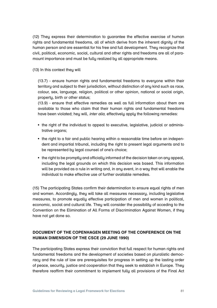(12) They express their determination to guarantee the effective exercise of human rights and fundamental freedoms, all of which derive from the inherent dignity of the human person and are essential for his free and full development. They recognize that civil, political, economic, social, cultural and other rights and freedoms are all of paramount importance and must be fully realized by all appropriate means.

#### (13) In this context they will

(13.7) - ensure human rights and fundamental freedoms to everyone within their territory and subject to their jurisdiction, without distinction of any kind such as race, colour, sex, language, religion, political or other opinion, national or social origin, property, birth or other status;

(13.9) - ensure that effective remedies as well as full information about them are available to those who claim that their human rights and fundamental freedoms have been violated; hey will, *inter alia*, effectively apply the following remedies:

- the right of the individual to appeal to executive, legislative, judicial or administrative organs;
- the right to a fair and public hearing within a reasonable time before an independent and impartial tribunal, including the right to present legal arguments and to be represented by legal counsel of one's choice;
- the right to be promptly and officially informed of the decision taken on any appeal, including the legal grounds on which this decision was based. This information will be provided as a rule in writing and, in any event, in a way that will enable the individual to make effective use of further available remedies.

(15) The participating States confirm their determination to ensure equal rights of men and women. Accordingly, they will take all measures necessary, including legislative measures, to promote equally effective participation of men and women in political, economic, social and cultural life. They will consider the possibility of acceding to the Convention on the Elimination of All Forms of Discrimination Against Women, if they have not yet done so.

# **DOCUMENT OF THE COPENHAGEN MEETING OF THE CONFERENCE ON THE HUMAN DIMENSION OF THE CSCE (29 JUNE 1990)**

The participating States express their conviction that full respect for human rights and fundamental freedoms and the development of societies based on pluralistic democracy and the rule of law are prerequisites for progress in setting up the lasting order of peace, security, justice and cooperation that they seek to establish in Europe. They therefore reaffirm their commitment to implement fully all provisions of the Final Act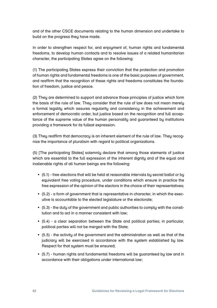and of the other CSCE documents relating to the human dimension and undertake to build on the progress they have made.

In order to strengthen respect for, and enjoyment of, human rights and fundamental freedoms, to develop human contacts and to resolve issues of a related humanitarian character, the participating States agree on the following:

(1) The participating States express their conviction that the protection and promotion of human rights and fundamental freedoms is one of the basic purposes of government, and reaffirm that the recognition of these rights and freedoms constitutes the foundation of freedom, justice and peace.

(2) They are determined to support and advance those principles of justice which form the basis of the rule of law. They consider that the rule of law does not mean merely a formal legality which assures regularity and consistency in the achievement and enforcement of democratic order, but justice based on the recognition and full acceptance of the supreme value of the human personality and guaranteed by institutions providing a framework for its fullest expression.

(3) They reaffirm that democracy is an inherent element of the rule of law. They recognize the importance of pluralism with regard to political organizations.

(5) [The participating States] solemnly declare that among those elements of justice which are essential to the full expression of the inherent dignity and of the equal and inalienable rights of all human beings are the following:

- (5.1) free elections that will be held at reasonable intervals by secret ballot or by equivalent free voting procedure, under conditions which ensure in practice the free expression of the opinion of the electors in the choice of their representatives;
- (5.2) a form of government that is representative in character, in which the executive is accountable to the elected legislature or the electorate;
- (5.3) the duty of the government and public authorities to comply with the constitution and to act in a manner consistent with law;
- (5.4) a clear separation between the State and political parties; in particular, political parties will not be merged with the State;
- (5.5) the activity of the government and the administration as well as that of the judiciary will be exercised in accordance with the system established by law. Respect for that system must be ensured;
- (5.7) human rights and fundamental freedoms will be guaranteed by law and in accordance with their obligations under international law;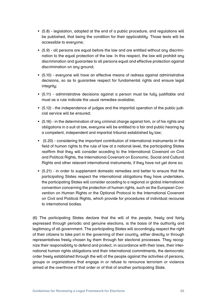- (5.8) legislation, adopted at the end of a public procedure, and regulations will be published, that being the condition for their applicability. Those texts will be accessible to everyone;
- (5.9) all persons are equal before the law and are entitled without any discrimination to the equal protection of the law. In this respect, the law will prohibit any discrimination and guarantee to all persons equal and effective protection against discrimination on any ground;
- (5.10) everyone will have an effective means of redress against administrative decisions, so as to guarantee respect for fundamental rights and ensure legal integrity;
- (5.11) administrative decisions against a person must be fully justifiable and must as a rule indicate the usual remedies available;
- (5.12) the independence of judges and the impartial operation of the public judicial service will be ensured;
- (5.16) in the determination of any criminal charge against him, or of his rights and obligations in a suit at law, everyone will be entitled to a fair and public hearing by a competent, independent and impartial tribunal established by law;
- (5.20) considering the important contribution of international instruments in the field of human rights to the rule of law at a national level, the participating States reaffirm that they will consider acceding to the International Covenant on Civil and Political Rights, the International Covenant on Economic, Social and Cultural Rights and other relevant international instruments, if they have not yet done so;
- (5.21) in order to supplement domestic remedies and better to ensure that the participating States respect the international obligations they have undertaken, the participating States will consider acceding to a regional or global international convention concerning the protection of human rights, such as the European Convention on Human Rights or the Optional Protocol to the International Covenant on Civil and Political Rights, which provide for procedures of individual recourse to international bodies.

(6) The participating States declare that the will of the people, freely and fairly expressed through periodic and genuine elections, is the basis of the authority and legitimacy of all government. The participating States will accordingly respect the right of their citizens to take part in the governing of their country, either directly or through representatives freely chosen by them through fair electoral processes. They recognize their responsibility to defend and protect, in accordance with their laws, their international human rights obligations and their international commitments, the democratic order freely established through the will of the people against the activities of persons, groups or organizations that engage in or refuse to renounce terrorism or violence aimed at the overthrow of that order or of that of another participating State.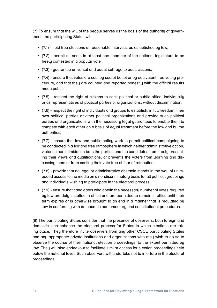(7) To ensure that the will of the people serves as the basis of the authority of government, the participating States will

- (7.1) hold free elections at reasonable intervals, as established by law;
- (7.2) permit all seats in at least one chamber of the national legislature to be freely contested in a popular vote;
- (7.3) guarantee universal and equal suffrage to adult citizens;
- (7.4) ensure that votes are cast by secret ballot or by equivalent free voting procedure, and that they are counted and reported honestly with the official results made public;
- (7.5) respect the right of citizens to seek political or public office, individually or as representatives of political parties or organizations, without discrimination;
- (7.6) respect the right of individuals and groups to establish, in full freedom, their own political parties or other political organizations and provide such political parties and organizations with the necessary legal guarantees to enable them to compete with each other on a basis of equal treatment before the law and by the authorities;
- (7.7) ensure that law and public policy work to permit political campaigning to be conducted in a fair and free atmosphere in which neither administrative action, violence nor intimidation bars the parties and the candidates from freely presenting their views and qualifications, or prevents the voters from learning and discussing them or from casting their vote free of fear of retribution;
- (7.8) provide that no legal or administrative obstacle stands in the way of unimpeded access to the media on a nondiscriminatory basis for all political groupings and individuals wishing to participate in the electoral process;
- (7.9) ensure that candidates who obtain the necessary number of votes required by law are duly installed in office and are permitted to remain in office until their term expires or is otherwise brought to an end in a manner that is regulated by law in conformity with democratic parliamentary and constitutional procedures.

(8) The participating States consider that the presence of observers, both foreign and domestic, can enhance the electoral process for States in which elections are taking place. They therefore invite observers from any other CSCE participating States and any appropriate private institutions and organizations who may wish to do so to observe the course of their national election proceedings, to the extent permitted by law. They will also endeavour to facilitate similar access for election proceedings held below the national level. Such observers will undertake not to interfere in the electoral proceedings.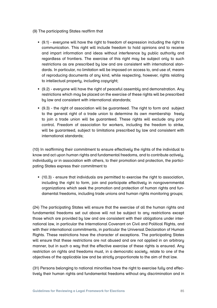- (9) The participating States reaffirm that
	- (9.1) everyone will have the right to freedom of expression including the right to communication. This right will include freedom to hold opinions and to receive and impart information and ideas without interference by public authority and regardless of frontiers. The exercise of this right may be subject only to such restrictions as are prescribed by law and are consistent with international standards. In particular, no limitation will be imposed on access to, and use of, means of reproducing documents of any kind, while respecting, however, rights relating to intellectual property, including copyright;
	- (9.2) everyone will have the right of peaceful assembly and demonstration. Any restrictions which may be placed on the exercise of these rights will be prescribed by law and consistent with international standards;
	- (9.3) the right of association will be guaranteed. The right to form and subject to the general right of a trade union to determine its own membership freely to join a trade union will be guaranteed. These rights will exclude any prior control. Freedom of association for workers, including the freedom to strike, will be guaranteed, subject to limitations prescribed by law and consistent with international standards;

(10) In reaffirming their commitment to ensure effectively the rights of the individual to know and act upon human rights and fundamental freedoms, and to contribute actively, individually or in association with others, to their promotion and protection, the participating States express their commitment to

• (10.3) - ensure that individuals are permitted to exercise the right to association, including the right to form, join and participate effectively in nongovernmental organizations which seek the promotion and protection of human rights and fundamental freedoms, including trade unions and human rights monitoring groups;

(24) The participating States will ensure that the exercise of all the human rights and fundamental freedoms set out above will not be subject to any restrictions except those which are provided by law and are consistent with their obligations under international law, in particular the International Covenant on Civil and Political Rights, and with their international commitments, in particular the Universal Declaration of Human Rights. These restrictions have the character of exceptions. The participating States will ensure that these restrictions are not abused and are not applied in an arbitrary manner, but in such a way that the effective exercise of these rights is ensured. Any restriction on rights and freedoms must, in a democratic society, relate to one of the objectives of the applicable law and be strictly proportionate to the aim of that law.

(31) Persons belonging to national minorities have the right to exercise fully and effectively their human rights and fundamental freedoms without any discrimination and in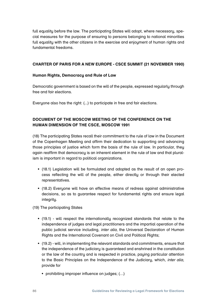full equality before the law. The participating States will adopt, where necessary, special measures for the purpose of ensuring to persons belonging to national minorities full equality with the other citizens in the exercise and enjoyment of human rights and fundamental freedoms.

#### **CHARTER OF PARIS FOR A NEW EUROPE - CSCE SUMMIT (21 NOVEMBER 1990)**

#### **Human Rights, Democracy and Rule of Law**

Democratic government is based on the will of the people, expressed regularly through free and fair elections.

Everyone also has the right: (...) to participate in free and fair elections.

# **Document of the Moscow Meeting of the Conference on the Human Dimension of the CSCE, Moscow 1991**

(18) The participating States recall their commitment to the rule of law in the Document of the Copenhagen Meeting and affirm their dedication to supporting and advancing those principles of justice which form the basis of the rule of law. In particular, they again reaffirm that democracy is an inherent element in the rule of law and that pluralism is important in regard to political organizations.

- (18.1) Legislation will be formulated and adopted as the result of an open process reflecting the will of the people, either directly or through their elected representatives.
- (18.2) Everyone will have an effective means of redress against administrative decisions, so as to guarantee respect for fundamental rights and ensure legal integrity.

(19) The participating States

- (19.1) will respect the internationally recognized standards that relate to the independence of judges and legal practitioners and the impartial operation of the public judicial service including, inter alia, the Universal Declaration of Human Rights and the International Covenant on Civil and Political Rights;
- (19.2) will, in implementing the relevant standards and commitments, ensure that the independence of the judiciary is guaranteed and enshrined in the constitution or the law of the country and is respected in practice, paying particular attention to the Basic Principles on the Independence of the Judiciary, which, inter alia, provide for
	- prohibiting improper influence on judges; (…)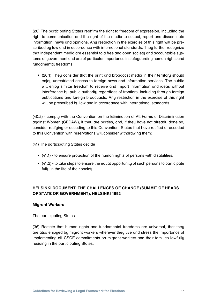(26) The participating States reaffirm the right to freedom of expression, including the right to communication and the right of the media to collect, report and disseminate information, news and opinions. Any restriction in the exercise of this right will be prescribed by law and in accordance with international standards. They further recognize that independent media are essential to a free and open society and accountable systems of government and are of particular importance in safeguarding human rights and fundamental freedoms.

• (26.1) They consider that the print and broadcast media in their territory should enjoy unrestricted access to foreign news and information services. The public will enjou similar freedom to receive and impart information and ideas without interference by public authority regardless of frontiers, including through foreign publications and foreign broadcasts. Any restriction in the exercise of this right will be prescribed by law and in accordance with international standards.

(40.2) - comply with the Convention on the Elimination of All Forms of Discrimination against Women (CEDAW), if they are parties, and, if they have not already done so, consider ratifying or acceding to this Convention; States that have ratified or acceded to this Convention with reservations will consider withdrawing them;

(41) The participating States decide

- (41.1) to ensure protection of the human rights of persons with disabilities;
- (41.2) to take steps to ensure the equal opportunity of such persons to participate fully in the life of their society;

# **Helsinki Document: The Challenges of Change (Summit of Heads of State or Government), Helsinki 1992**

#### **Migrant Workers**

#### The participating States

(36) Restate that human rights and fundamental freedoms are universal, that they are also enjoyed by migrant workers wherever they live and stress the importance of implementing all CSCE commitments on migrant workers and their families lawfully residing in the participating States;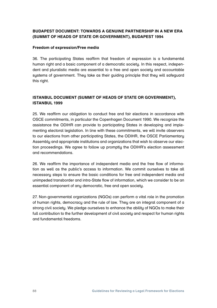# **Budapest Document: Towards a Genuine Partnership in a New Era (Summit of Heads of State or Government), Budapest 1994**

# **Freedom of expression/Free media**

36. The participating States reaffirm that freedom of expression is a fundamental human right and a basic component of a democratic society. In this respect, independent and pluralistic media are essential to a free and open society and accountable systems of government. They take as their guiding principle that they will safeguard this right.

# **ISTANBUL DOCUMENT (SUMMIT OF HEADS OF STATE OR GOVERNMENT), ISTANBUL 1999**

25. We reaffirm our obligation to conduct free and fair elections in accordance with OSCE commitments, in particular the Copenhagen Document 1990. We recognize the assistance the ODIHR can provide to participating States in developing and implementing electoral legislation. In line with these commitments, we will invite observers to our elections from other participating States, the ODIHR, the OSCE Parliamentary Assembly and appropriate institutions and organizations that wish to observe our election proceedings. We agree to follow up promptly the ODIHR's election assessment and recommendations.

26. We reaffirm the importance of independent media and the free flow of information as well as the public's access to information. We commit ourselves to take all necessary steps to ensure the basic conditions for free and independent media and unimpeded transborder and intra-State flow of information, which we consider to be an essential component of any democratic, free and open society.

27. Non-governmental organizations (NGOs) can perform a vital role in the promotion of human rights, democracy and the rule of law. They are an integral component of a strong civil society. We pledge ourselves to enhance the ability of NGOs to make their full contribution to the further development of civil society and respect for human rights and fundamental freedoms.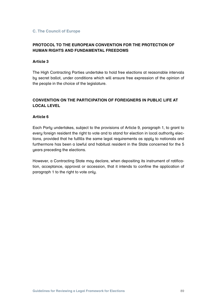#### **C. The Council of Europe**

# **PROTOCOL TO THE EUROPEAN CONVENTION FOR THE PROTECTION OF HUMAN RIGHTS AND FUNDAMENTAL FREEDOMS**

# **Article 3**

The High Contracting Parties undertake to hold free elections at reasonable intervals by secret ballot, under conditions which will ensure free expression of the opinion of the people in the choice of the legislature.

# **CONVENTION ON THE PARTICIPATION OF FOREIGNERS IN PUBLIC LIFE AT LOCAL LEVEL**

#### **Article 6**

Each Party undertakes, subject to the provisions of Article 9, paragraph 1, to grant to every foreign resident the right to vote and to stand for election in local authority elections, provided that he fulfills the same legal requirements as apply to nationals and furthermore has been a lawful and habitual resident in the State concerned for the 5 years preceding the elections.

However, a Contracting State may declare, when depositing its instrument of ratification, acceptance, approval or accession, that it intends to confine the application of paragraph 1 to the right to vote only.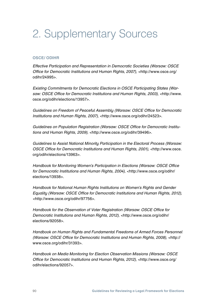# 2. Supplementary Sources

#### **OSCE/ ODIHR**

Effective Participation and Representation in Democratic Societies (Warsaw: OSCE Office for Democratic Institutions and Human Rights, 2007), <[http://www.osce.org/](http://www.osce.org/odihr/24995) [odihr/24995](http://www.osce.org/odihr/24995)>.

Existing Commitments for Democratic Elections in OSCE Participating States (Warsaw: OSCE Office for Democratic Institutions and Human Rights, 2003), <[http://www.](http://www.osce.org/odihr/elections/13957) [osce.org/odihr/elections/13957>](http://www.osce.org/odihr/elections/13957).

Guidelines on Freedom of Peaceful Assembly (Warsaw: OSCE Office for Democratic Institutions and Human Rights, 2007), <<http://www.osce.org/odihr/24523>>.

Guidelines on Population Registration (Warsaw: OSCE Office for Democratic Institutions and Human Rights, 2009), <<http://www.osce.org/odihr/39496>>.

Guidelines to Assist National Minority Participation in the Electoral Process (Warsaw: OSCE Office for Democratic Institutions and Human Rights, 2001), <[http://www.osce.](http://www.osce.org/odihr/elections/13963) [org/odihr/elections/13963>](http://www.osce.org/odihr/elections/13963).

Handbook for Monitoring Women's Participation in Elections (Warsaw: OSCE Office for Democratic Institutions and Human Rights, 2004), <[http://www.osce.org/odihr/](http://www.osce.org/odihr/elections/13938) [elections/13938>](http://www.osce.org/odihr/elections/13938).

Handbook for National Human Rights Institutions on Women's Rights and Gender Equality (Warsaw: OSCE Office for Democratic Institutions and Human Rights, 2012), <[http://www.osce.org/odihr/97756>](http://www.osce.org/odihr/97756).

Handbook for the Observation of Voter Registration (Warsaw: OSCE Office for Democratic Institutions and Human Rights, 2012), <[http://www.osce.org/odihr/](http://www.osce.org/odihr/elections/92058) [elections/92058](http://www.osce.org/odihr/elections/92058)>.

Handbook on Human Rights and Fundamental Freedoms of Armed Forces Personnel (Warsaw: OSCE Office for Democratic Institutions and Human Rights, 2008), <[http://](http://www.osce.org/odihr/31393) [www.osce.org/odihr/31393](http://www.osce.org/odihr/31393)>.

Handbook on Media Monitoring for Election Observation Missions (Warsaw: OSCE Office for Democratic Institutions and Human Rights, 2012), <[http://www.osce.org/](http://www.osce.org/odihr/elections/92057) [odihr/elections/92057](http://www.osce.org/odihr/elections/92057)>.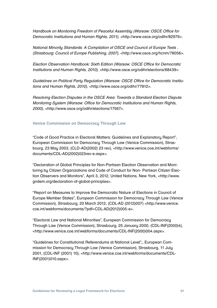Handbook on Monitoring Freedom of Peaceful Assembly (Warsaw: OSCE Office for Democratic Institutions and Human Rights, 2011), <[http://www.osce.org/odihr/82979>](http://www.osce.org/odihr/82979).

National Minority Standards: A Compilation of OSCE and Council of Europe Texts . (Strasbourg: Council of Europe Publishing, 2007), <[http://www.osce.org/hcnm/78056>](http://www.osce.org/hcnm/78056).

Election Observation Handbook: Sixth Edition (Warsaw: OSCE Office for Democratic Institutions and Human Rights, 2010), <<http://www.osce.org/odihr/elections/68439>>.

Guidelines on Political Party Regulation (Warsaw: OSCE Office for Democratic Institutions and Human Rights, 2010), <<http://www.osce.org/odihr/77812>>.

Resolving Election Disputes in the OSCE Area: Towards a Standard Election Dispute Monitoring System (Warsaw: Office for Democratic Institutions and Human Rights, 2000), <<http://www.osce.org/odihr/elections/17567>>.

#### **Venice Commission on Democracy Through Law**

"Code of Good Practice in Electoral Matters: Guidelines and Explanatory Report", European Commission for Democracy Through Law (Venice Commission), Strasbourg, 23 May 2003, (CLD-AD(2002) 23 rev), [<http://www.venice.coe.int/webforms/](http://www.venice.coe.int/webforms/documents/CDL-AD(2002)023rev-e.aspx) [documents/CDL-AD\(2002\)023rev-e.aspx](http://www.venice.coe.int/webforms/documents/CDL-AD(2002)023rev-e.aspx)>.

"Declaration of Global Principles for Non-Partisan Election Observation and Monitoring by Citizen Organizations and Code of Conduct for Non- Partisan Citizen Election Observers and Monitors", April 3, 2012, United Nations, New York, <[http://www.](http://www.gndem.org/declaration-of-global-principles) [gndem.org/declaration-of-global-principles](http://www.gndem.org/declaration-of-global-principles)>.

"Report on Measures to Improve the Democratic Nature of Elections in Council of Europe Member States", European Commission for Democracy Through Law (Venice Commission), Strasbourg, 20 March 2012, (CDL-AD (2012)007) <[http://www.venice.](http://www.venice.coe.int/webforms/documents/?pdf=CDL-AD(2012)005-e) [coe.int/webforms/documents/?pdf=CDL-AD\(2012\)005-e](http://www.venice.coe.int/webforms/documents/?pdf=CDL-AD(2012)005-e)>.

"Electoral Law and National Minorities", European Commission for Democracy Through Law (Venice Commission), Strasbourg, 25 January 2000, (CDL-INF(2000)4), <[http://www.venice.coe.int/webforms/documents/CDL-INF\(2000\)004.aspx](http://www.venice.coe.int/webforms/documents/CDL-INF(2000)004.aspx)>.

"Guidelines for Constitutional Referendums at National Level",, European Commission for Democracy Through Law (Venice Commission), Strasbourg, 11 July 2001, (CDL-INF (2001) 10), [<http://www.venice.coe.int/webforms/documents/CDL-](http://www.venice.coe.int/webforms/documents/CDL-INF(2001)010.aspx)[INF\(2001\)010.aspx>](http://www.venice.coe.int/webforms/documents/CDL-INF(2001)010.aspx).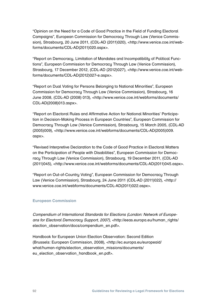"Opinion on the Need for a Code of Good Practice in the Field of Funding Electoral Campaigns", European Commission for Democracy Through Law (Venice Commission), Strasbourg, 20 June 2011, (CDL-AD (2011)020), <[http://www.venice.coe.int/web](http://www.venice.coe.int/webforms/documents/CDL-AD(2011)020.aspx)[forms/documents/CDL-AD\(2011\)020.aspx>](http://www.venice.coe.int/webforms/documents/CDL-AD(2011)020.aspx).

"Report on Democracy, Limitation of Mandates and Incompatibility of Political Functions", European Commission for Democracy Through Law (Venice Commission), Strasbourg, 17 December 2012, (CDL-AD (2012)027), <[http://www.venice.coe.int/web](http://www.venice.coe.int/webforms/documents/CDL-AD(2012)027-e.aspx)[forms/documents/CDL-AD\(2012\)027-e.aspx>](http://www.venice.coe.int/webforms/documents/CDL-AD(2012)027-e.aspx).

"Report on Dual Voting for Persons Belonging to National Minorities", European Commission for Democracy Through Law (Venice Commission), Strasbourg, 16 June 2008, (CDL-AD (2008) 013), [<http://www.venice.coe.int/webforms/documents/](http://www.venice.coe.int/webforms/documents/CDL-AD(2008)013.aspx) [CDL-AD\(2008\)013.aspx](http://www.venice.coe.int/webforms/documents/CDL-AD(2008)013.aspx)>.

"Report on Electoral Rules and Affirmative Action for National Minorities' Participation in Decision-Making Process in European Countries", European Commission for Democracy Through Law (Venice Commission), Strasbourg, 15 March 2005, (CDL-AD (2005)009), [<http://www.venice.coe.int/webforms/documents/CDL-AD\(2005\)009.](http://www.venice.coe.int/webforms/documents/CDL-AD(2005)009.aspx) [aspx](http://www.venice.coe.int/webforms/documents/CDL-AD(2005)009.aspx)>.

"Revised Interpretive Declaration to the Code of Good Practice in Electoral Matters on the Participation of People with Disabilities", European Commission for Democracy Through Law (Venice Commission), Strasbourg, 19 December 2011, (CDL-AD (2011)045), <[http://www.venice.coe.int/webforms/documents/CDL-AD\(2011\)045.aspx](http://www.venice.coe.int/webforms/documents/CDL-AD(2011)045.aspx)>.

"Report on Out-of-Country Voting", European Commission for Democracy Through Law (Venice Commission), Strasbourg, 24 June 2011 (CDL-AD (2011)022), [<http://](http://www.venice.coe.int/webforms/documents/CDL-AD(2011)022.aspx) [www.venice.coe.int/webforms/documents/CDL-AD\(2011\)022.aspx](http://www.venice.coe.int/webforms/documents/CDL-AD(2011)022.aspx)>.

#### **European Commission**

Compendium of International Standards for Elections (London: Network of Europeans for Electoral Democracy Support, 2007), <[http://eeas.europa.eu/human\\_rights/](http://eeas.europa.eu/human_rights/election_observation/docs/compendium_en.pdf) [election\\_observation/docs/compendium\\_en.pdf>](http://eeas.europa.eu/human_rights/election_observation/docs/compendium_en.pdf).

Handbook for European Union Election Observation: Second Edition (Brussels: European Commission, 2008), <[http://ec.europa.eu/europeaid/](http://ec.europa.eu/europeaid/what/human-rights/election_observation_missions/documents/eu_election_observation_handbook_en.pdf) [what/human-rights/election\\_observation\\_missions/documents/](http://ec.europa.eu/europeaid/what/human-rights/election_observation_missions/documents/eu_election_observation_handbook_en.pdf) eu election observation handbook en.pdf>.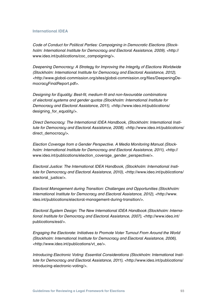#### **International IDEA**

Code of Conduct for Political Parties: Campaigning in Democratic Elections (Stockholm: International Institute for Democracy and Electoral Assistance, 2009), <[http://](http://www.idea.int/publications/coc_campaigning/) [www.idea.int/publications/coc\\_campaigning/](http://www.idea.int/publications/coc_campaigning/)>.

Deepening Democracy: A Strategy for Improving the Integrity of Elections Worldwide (Stockholm: International Institute for Democracy and Electoral Assistance, 2012), <[http://www.global-commission.org/sites/global-commission.org/files/DeepeningDe](http://www.global-commission.org/sites/global-commission.org/files/DeepeningDemocracyFinalReport.pdf)mocracuFinalReport.pdf>.

Designing for Equality: Best-fit, medium-fit and non-favourable combinations of electoral systems and gender quotas (Stockholm: International Institute for Democracy and Electoral Assistance, 2011), <[http://www.idea.int/publications/](http://www.idea.int/publications/designing_for_equality/) [designing\\_for\\_equality/](http://www.idea.int/publications/designing_for_equality/)>.

Direct Democracy: The International IDEA Handbook, (Stockholm: International Institute for Democracy and Electoral Assistance, 2008), <[http://www.idea.int/publications/](http://www.idea.int/publications/direct_democracy/) direct\_democracu/>.

Election Coverage from a Gender Perspective. A Media Monitoring Manual (Stockholm: International Institute for Democracy and Electoral Assistance, 2011), <[http://](http://www.idea.int/publications/election_coverage_gender_perspective/) [www.idea.int/publications/election\\_coverage\\_gender\\_perspective/](http://www.idea.int/publications/election_coverage_gender_perspective/)>.

Electoral Justice: The International IDEA Handbook, (Stockholm: International Institute for Democracy and Electoral Assistance, 2010), <[http://www.idea.int/publications/](http://www.idea.int/publications/electoral_justice/) electoral\_iustice/>.

Electoral Management during Transition: Challenges and Opportunities (Stockholm: International Institute for Democracy and Electoral Assistance, 2012), <[http://www.](http://www.idea.int/publications/electoral-management-during-transition/) [idea.int/publications/electoral-management-during-transition/](http://www.idea.int/publications/electoral-management-during-transition/)>.

Electoral System Design: The New International IDEA Handbook (Stockholm: International Institute for Democracy and Electoral Assistance, 2007), <[http://www.idea.int/](http://www.idea.int/publications/esd/) [publications/esd/](http://www.idea.int/publications/esd/)>.

Engaging the Electorate: Initiatives to Promote Voter Turnout From Around the World (Stockholm: International Institute for Democracy and Electoral Assistance, 2006), <[http://www.idea.int/publications/vt\\_ee/>](http://www.idea.int/publications/vt_ee/).

Introducing Electronic Voting: Essential Considerations (Stockholm: International Institute for Democracy and Electoral Assistance, 2011), <[http://www.idea.int/publications/](http://www.idea.int/publications/introducing-electronic-voting/) [introducing-electronic-voting/>](http://www.idea.int/publications/introducing-electronic-voting/).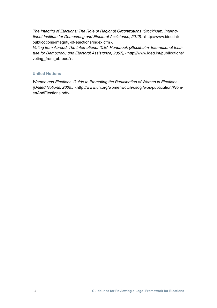The Integrity of Elections: The Role of Regional Organizations (Stockholm: International Institute for Democracy and Electoral Assistance, 2012), <[http://www.idea.int/](http://www.idea.int/publications/integrity-of-elections/index.cfm) [publications/integrity-of-elections/index.cfm>](http://www.idea.int/publications/integrity-of-elections/index.cfm).

Voting from Abroad: The International IDEA Handbook (Stockholm: International Institute for Democracy and Electoral Assistance, 2007), <[http://www.idea.int/publications/](http://www.idea.int/publications/voting_from_abroad/) [voting\\_from\\_abroad/](http://www.idea.int/publications/voting_from_abroad/)>.

# **United Nations**

Women and Elections: Guide to Promoting the Participation of Women in Elections (United Nations, 2005), <[http://www.un.org/womenwatch/osagi/wps/publication/Wom](http://www.un.org/womenwatch/osagi/wps/publication/WomenAndElections.pdf)[enAndElections.pdf](http://www.un.org/womenwatch/osagi/wps/publication/WomenAndElections.pdf)>.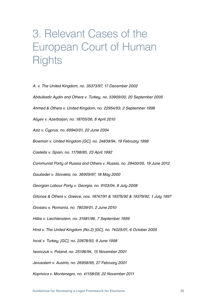# 3. Relevant Cases of the European Court of Human **Rights**

A. v. The United Kingdom, no. 35373/97, 17 December 2002 Abdulkadir Aydin and Others v. Turkey, no. 53909/00, 20 September 2005 Ahmed & Others v. United Kingdom, no. 22954/93, 2 September 1998 Aliyev v. Azerbaijan, no. 18705/06, 8 April 2010 Aziz v. Cyprus, no. 69940/01, 22 June 2004 Bowman v. United Kingdom [GC], no. 24839/94, 19 February 1998 Castells v. Spain, no. 11798/85, 23 April 1992 Communist Party of Russia and Others v. Russia, no. 29400/05, 19 June 2012 Gaulieder v. Slovakia, no. 36909/97, 18 May 2000 Georgian Labour Party v. Georgia, no. 9103/04, 8 July 2008 Gitonas & Others v. Greece, nos. 18747/91 & 19376/92 & 19379/92, 1 July 1997 Grosaru v. Romania, no. 78039/01, 2 June 2010 Hilbe v. Liechtenstein, no. 31981/96, 7 September 1999 Hirst v. The United Kingdom (No.2) [GC], no. 74025/01, 6 October 2005 Incal v. Turkey, [GC], no. 22678/93, 9 June 1998 Iwanczuk v. Poland, no. 25196/94, 15 November 2001 Jerusalem v. Austria, no. 26958/95, 27 February 2001 Koprivica v. Montenegro, no. 41158/09, 22 November 2011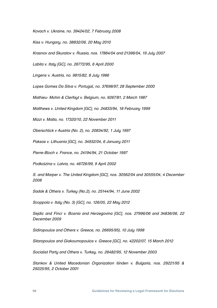Kovach v. Ukraine, no. 39424/02, 7 February 2008

Kiss v. Hungary, no. 38832/06, 20 May 2010

Krasnov and Skuratov v. Russia, nos. 17864/04 and 21396/04, 19 July 2007

Labita v. Italy [GC], no. 26772/95, 6 April 2000

Lingens v. Austria, no. 9815/82, 8 July 1986

Lopes Gomes Da Silva v. Portugal, no. 37698/97, 28 September 2000

Mathieu- Mohin & Clerfayt v. Belgium, no. 9267/81, 2 March 1987

Matthews v. United Kingdom [GC], no. 24833/94, 18 February 1999

Mizzi v. Malta, no. 17320/10, 22 November 2011

Oberschlick v Austria (No. 2), no. 20834/92, 1 July 1997

Paksas v. Lithuania [GC], no. 34932/04, 6 January 2011

Pierre-Bloch v. France, no. 24194/94, 21 October 1997

Podkolzina v. Latvia, no. 46726/99, 9 April 2002

S. and Marper v. The United Kingdom [GC], nos. 30562/04 and 30555/04, 4 December 2008

Sadak & Others v. Turkey (No.2), no. 25144/94, 11 June 2002

Scoppola v. Italy (No. 3) [GC], no. 126/05, 22 May 2012

Sejdic and Finci v. Bosnia and Herzegovina [GC], nos. 27996/06 and 34836/06, 22 December 2009

Sidiropoulos and Others v. Greece, no. 26695/95), 10 July 1998

Sitaropoulos and Giakoumopoulos v. Greece [GC], no. 42202/07, 15 March 2012

Socialist Party and Others v. Turkey, no. 26482/95, 12 November 2003

Stankov & United Macedonian Organization Ilinden v. Bulgaria, nos. 29221/95 & 29225/95, 2 October 2001